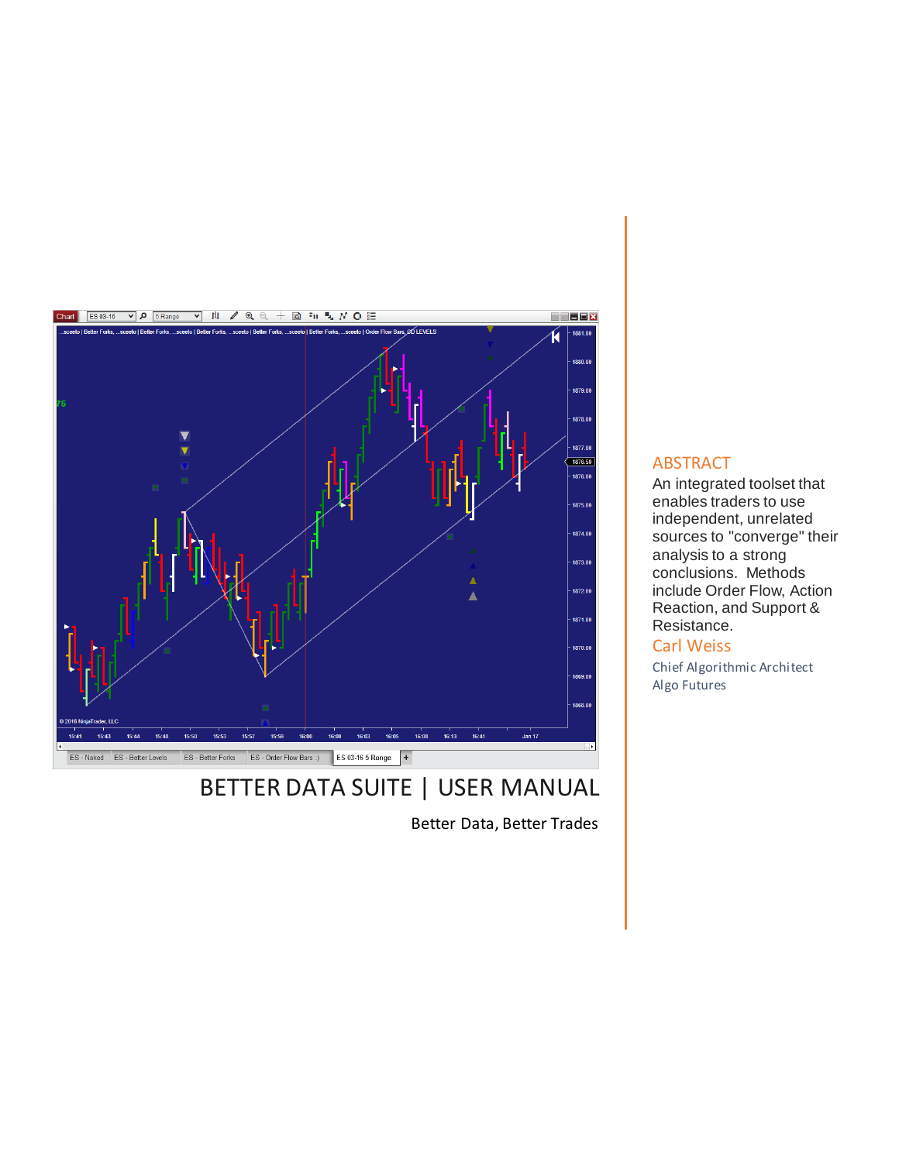

# BETTER DATA SUITE | USER MANUAL

Better Data, Better Trades

# **ABSTRACT**

An integrated toolset that enables traders to use independent, unrelated sources to "converge" their analysis to a strong conclusions. Methods include Order Flow, Action Reaction, and Support & Resistance.

# Carl Weiss

Chief Algorithmic Architect Algo Futures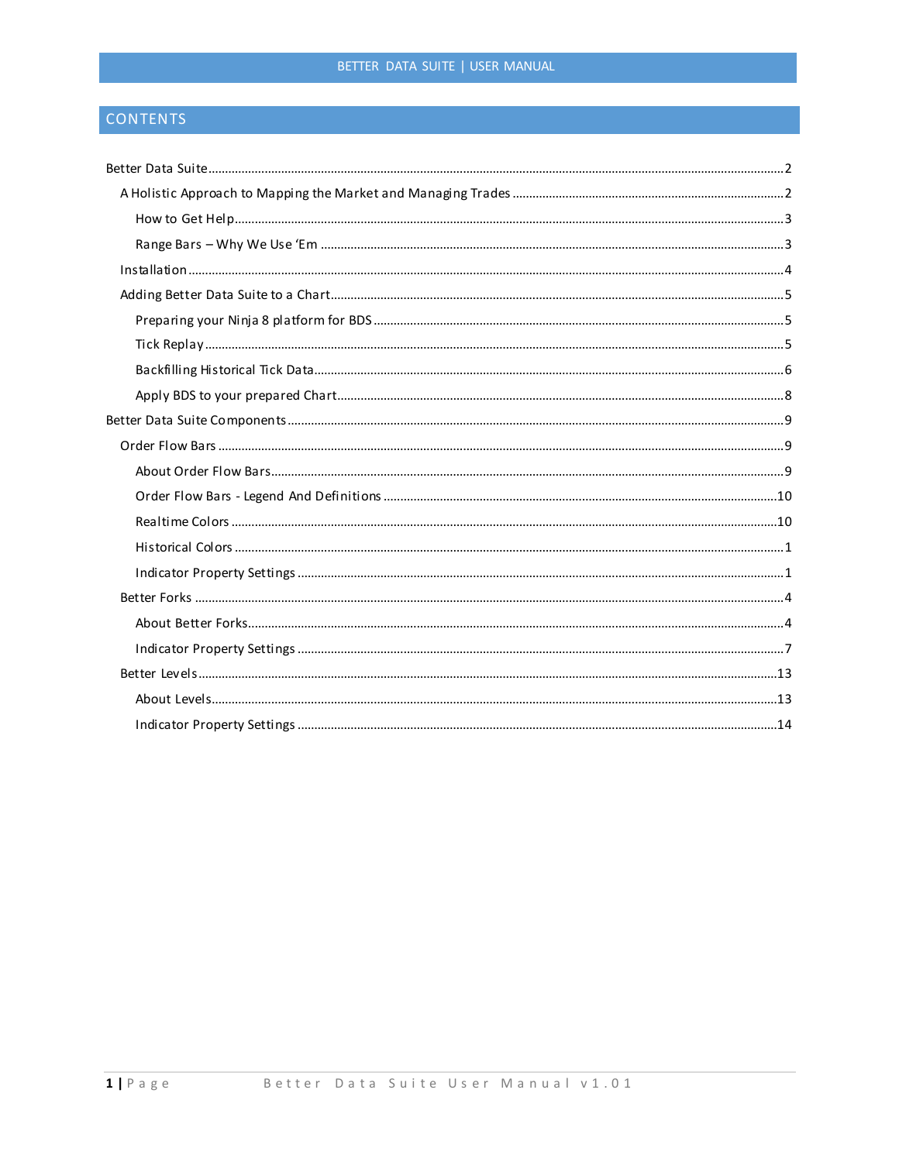# BETTER DATA SUITE | USER MANUAL

# CONTENTS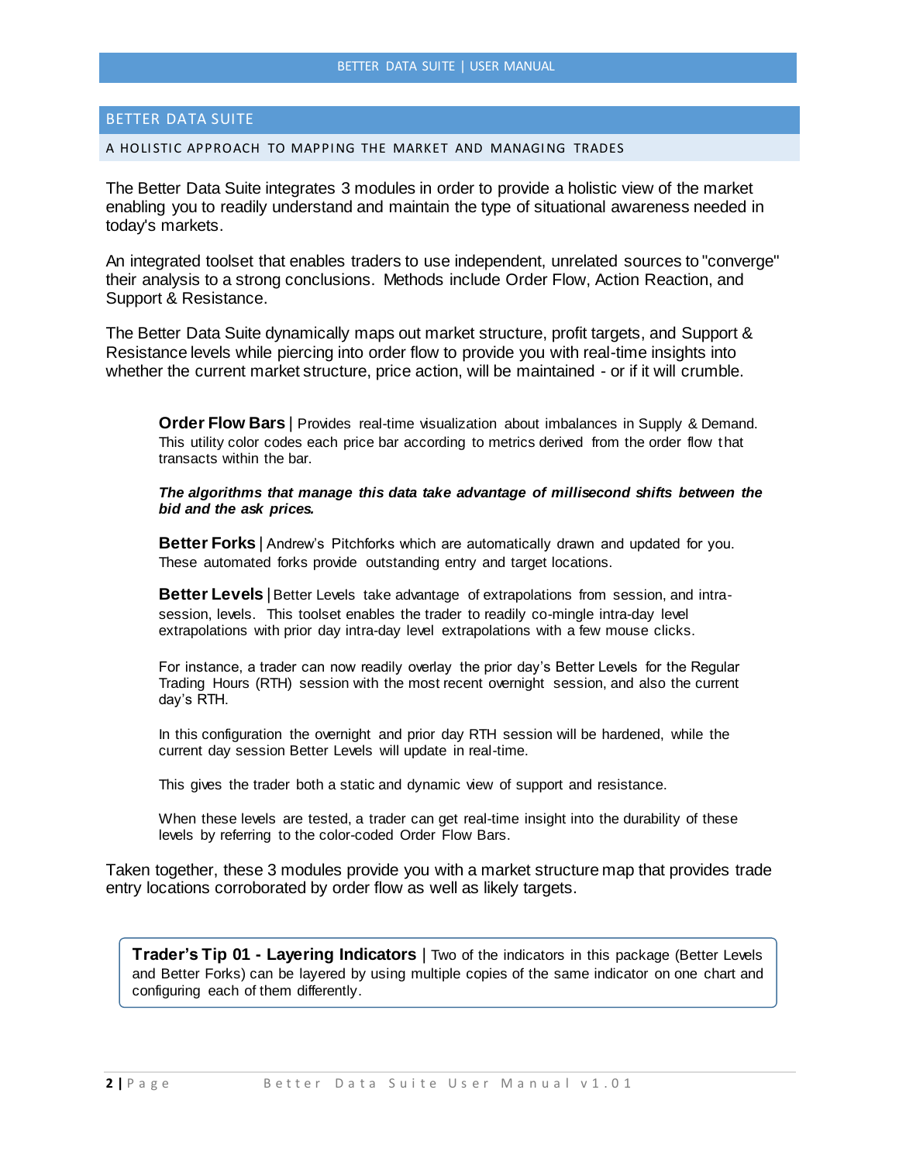### <span id="page-2-0"></span>BETTER DATA SUITE

#### <span id="page-2-1"></span>A HOLISTIC APPROACH TO MAPPING THE MARKET AND MANAGING TRADES

The Better Data Suite integrates 3 modules in order to provide a holistic view of the market enabling you to readily understand and maintain the type of situational awareness needed in today's markets.

An integrated toolset that enables traders to use independent, unrelated sources to "converge" their analysis to a strong conclusions. Methods include Order Flow, Action Reaction, and Support & Resistance.

The Better Data Suite dynamically maps out market structure, profit targets, and Support & Resistance levels while piercing into order flow to provide you with real-time insights into whether the current market structure, price action, will be maintained - or if it will crumble.

**Order Flow Bars** | Provides real-time visualization about imbalances in Supply & Demand. This utility color codes each price bar according to metrics derived from the order flow that transacts within the bar.

*The algorithms that manage this data take advantage of millisecond shifts between the bid and the ask prices.*

**Better Forks** | Andrew's Pitchforks which are automatically drawn and updated for you. These automated forks provide outstanding entry and target locations.

**Better Levels** | Better Levels take advantage of extrapolations from session, and intrasession, levels. This toolset enables the trader to readily co-mingle intra-day level extrapolations with prior day intra-day level extrapolations with a few mouse clicks.

For instance, a trader can now readily overlay the prior day's Better Levels for the Regular Trading Hours (RTH) session with the most recent overnight session, and also the current day's RTH.

In this configuration the overnight and prior day RTH session will be hardened, while the current day session Better Levels will update in real-time.

This gives the trader both a static and dynamic view of support and resistance.

When these levels are tested, a trader can get real-time insight into the durability of these levels by referring to the color-coded Order Flow Bars.

Taken together, these 3 modules provide you with a market structure map that provides trade entry locations corroborated by order flow as well as likely targets.

**Trader's Tip 01 - Layering Indicators** | Two of the indicators in this package (Better Levels and Better Forks) can be layered by using multiple copies of the same indicator on one chart and configuring each of them differently.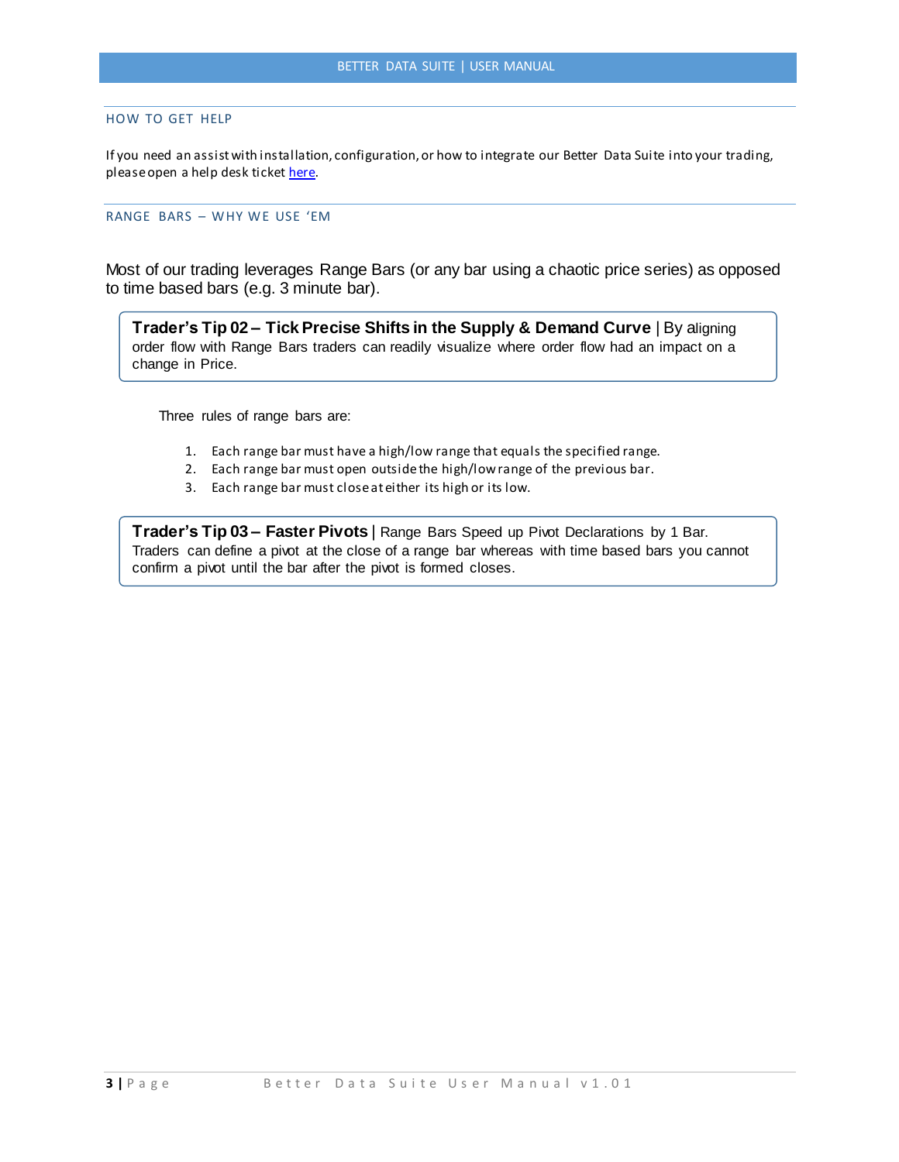### <span id="page-3-0"></span>HOW TO GET HELP

If you need an assist with installation, configuration, or how to integrate our Better Data Suite into your trading, please open a help desk ticke[t here.](https://sceeto.zendesk.com/tickets/new)

### <span id="page-3-1"></span>RANGE BARS – WHY WE USE 'EM

Most of our trading leverages Range Bars (or any bar using a chaotic price series) as opposed to time based bars (e.g. 3 minute bar).

**Trader's Tip 02 – Tick Precise Shifts in the Supply & Demand Curve** | By aligning order flow with Range Bars traders can readily visualize where order flow had an impact on a change in Price.

Three rules of range bars are:

- 1. Each range bar must have a high/low range that equals the specified range.
- 2. Each range bar must open outside the high/low range of the previous bar.
- 3. Each range bar must close at either its high or its low.

**Trader's Tip 03 – Faster Pivots** | Range Bars Speed up Pivot Declarations by 1 Bar. Traders can define a pivot at the close of a range bar whereas with time based bars you cannot confirm a pivot until the bar after the pivot is formed closes.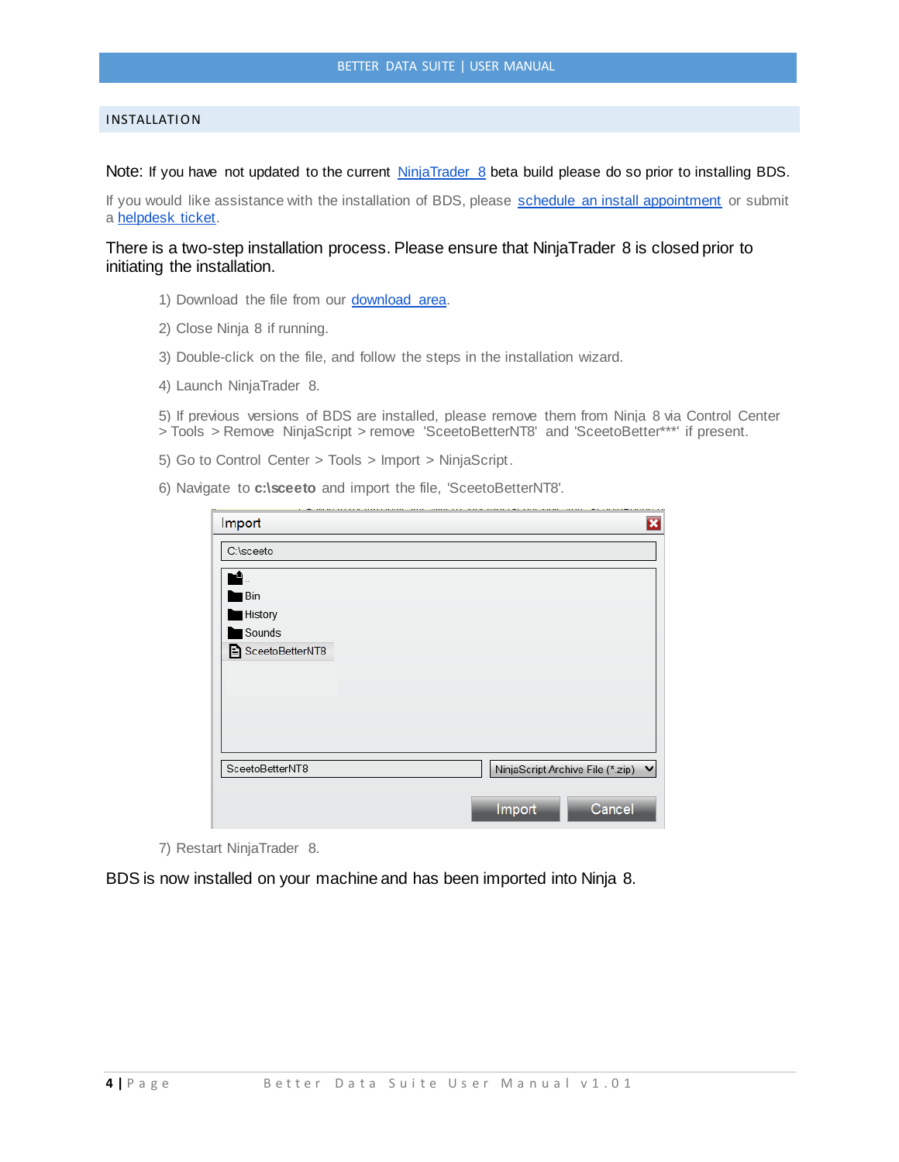### <span id="page-4-0"></span>**INSTALLATION**

Note: If you have not updated to the current [NinjaTrader 8](http://ninjatrader.com/PlatformDirect) beta build please do so prior to installing BDS.

If you would like assistance with the installation of BDS, please [schedule an install appointment](http://www.vcita.com/v/sceeto/online_scheduling?service_id=d35430041f3fa158&staff_id=2818d6dd5e2a9087) or submit a [helpdesk ticket.](https://sceeto.zendesk.com/tickets/new)

There is a two-step installation process. Please ensure that NinjaTrader 8 is closed prior to initiating the installation.

- 1) Download the file from our **download area**.
- 2) Close Ninja 8 if running.
- 3) Double-click on the file, and follow the steps in the installation wizard.
- 4) Launch NinjaTrader 8.

5) If previous versions of BDS are installed, please remove them from Ninja 8 via Control Center > Tools > Remove NinjaScript > remove 'SceetoBetterNT8' and 'SceetoBetter\*\*\*' if present.

- 5) Go to Control Center > Tools > Import > NinjaScript.
- 6) Navigate to **c:\sceeto** and import the file, 'SceetoBetterNT8'.

| Import          | $\overline{\mathbf{x}}$            |
|-----------------|------------------------------------|
| C:\sceeto       |                                    |
|                 |                                    |
| Bin             |                                    |
| History         |                                    |
| Sounds          |                                    |
| SceetoBetterNT8 |                                    |
| SceetoBetterNT8 | NinjaScript Archive File (*.zip) ↓ |
|                 | Cancel<br>Import                   |

7) Restart NinjaTrader 8.

BDS is now installed on your machine and has been imported into Ninja 8.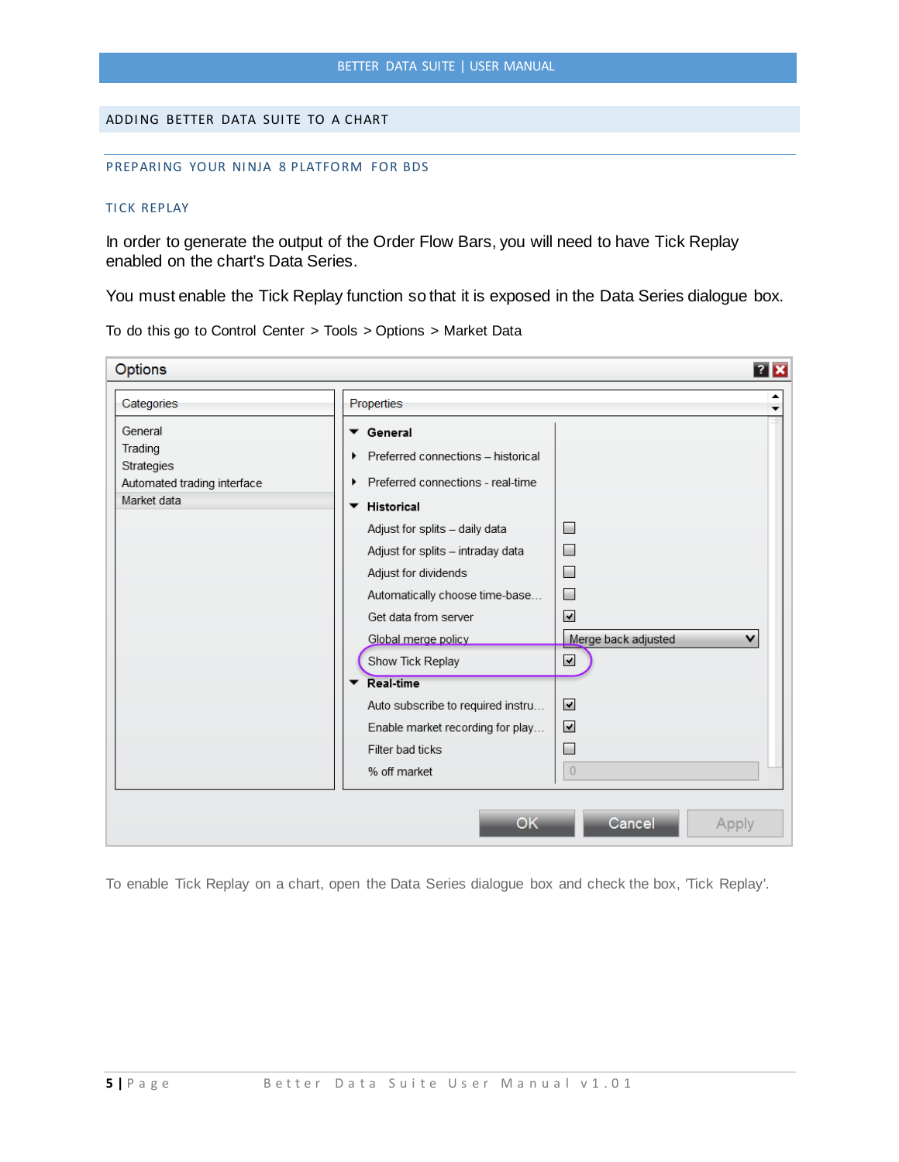### <span id="page-5-1"></span><span id="page-5-0"></span>ADDING BETTER DATA SUITE TO A CHART

#### <span id="page-5-2"></span>PREPARING YOUR NINJA 8 PLATFORM FOR BDS

### **TICK REPLAY**

In order to generate the output of the Order Flow Bars, you will need to have Tick Replay enabled on the chart's Data Series.

You must enable the Tick Replay function so that it is exposed in the Data Series dialogue box.

**Options**  $\overline{?}$   $\overline{\mathbf{x}}$ ▲ Categories Properties  $\ddot{\phantom{0}}$ General ▼ General Trading Preferred connections - historical Strategies Preferred connections - real-time Automated trading interface Market data ▼ Historical Adjust for splits - daily data  $\Box$  $\qquad \qquad \Box$ Adjust for splits - intraday data Adjust for dividends  $\Box$ Automatically choose time-base...  $\Box$ Get data from server  $\blacktriangleright$ Merge back adjusted v Global merge policy Show Tick Replay  $\blacktriangleright$ Real-time  $\blacktriangledown$ Auto subscribe to required instru...  $\blacktriangledown$ Enable market recording for play... Filter bad ticks  $\overline{\phantom{a}}$ % off market  $\bigcirc$ **OK** Cancel Apply

To do this go to Control Center > Tools > Options > Market Data

To enable Tick Replay on a chart, open the Data Series dialogue box and check the box, 'Tick Replay'.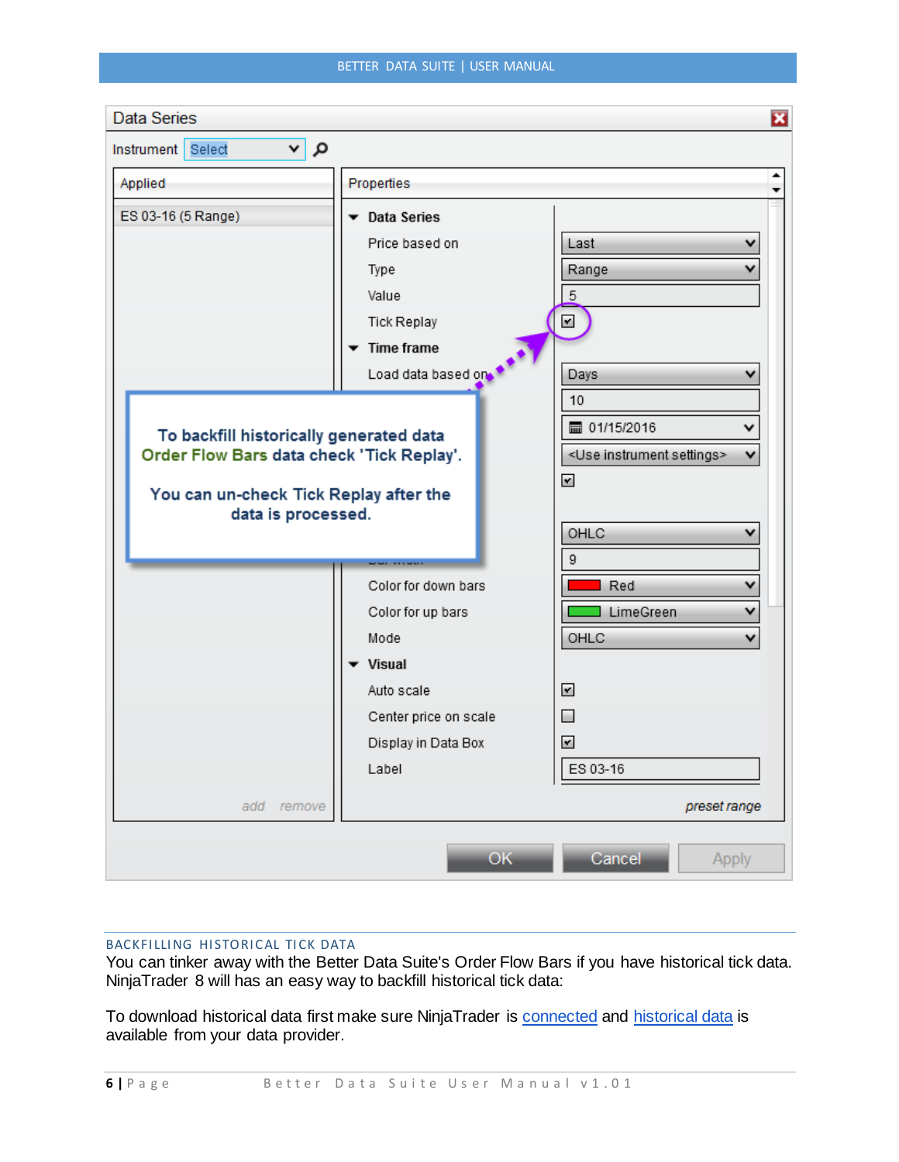| Data Series                               |                       | 図                                           |
|-------------------------------------------|-----------------------|---------------------------------------------|
| م∣∝<br>Instrument Select                  |                       |                                             |
| Applied                                   | Properties            | ▲                                           |
| ES 03-16 (5 Range)                        | ▼ Data Series         |                                             |
|                                           | Price based on        | Last<br>v                                   |
|                                           | Type                  | Range                                       |
|                                           | Value                 | $\overline{5}$                              |
|                                           | Tick Replay           | $\mathbf{\mathbf{r}}$                       |
|                                           | <b>Time frame</b>     |                                             |
|                                           | Load data based on    | Days                                        |
|                                           |                       | 10                                          |
| To backfill historically generated data   |                       | ■ 01/15/2016<br>v                           |
| Order Flow Bars data check 'Tick Replay'. |                       | <use instrument="" settings=""><br/>v</use> |
| You can un-check Tick Replay after the    |                       | $\blacktriangledown$                        |
| data is processed.                        |                       |                                             |
|                                           |                       | OHLC                                        |
|                                           |                       | 9                                           |
|                                           | Color for down bars   | Red<br>v                                    |
|                                           | Color for up bars     | v<br>LimeGreen                              |
|                                           | Mode                  | OHLC<br>v                                   |
|                                           | <b>Visual</b>         |                                             |
|                                           | Auto scale            | ⊻                                           |
|                                           | Center price on scale | $\Box$                                      |
|                                           | Display in Data Box   | $\overline{\mathbf{r}}$                     |
|                                           | Label                 | ES 03-16                                    |
| add<br>remove                             |                       | preset range                                |
|                                           | OK                    | Cancel<br>Apply                             |

# <span id="page-6-0"></span>BACKFILLING HISTORICAL TICK DATA

You can tinker away with the Better Data Suite's Order Flow Bars if you have historical tick data. NinjaTrader 8 will has an easy way to backfill historical tick data:

To download historical data first make sure NinjaTrader is [connected](http://ninjatrader.com/support/helpGuides/nt8/en-us/connecting_to_youraccount.htm) and [historical data](http://ninjatrader.com/support/helpGuides/nt8/en-us/data_by_provider.htm) is available from your data provider.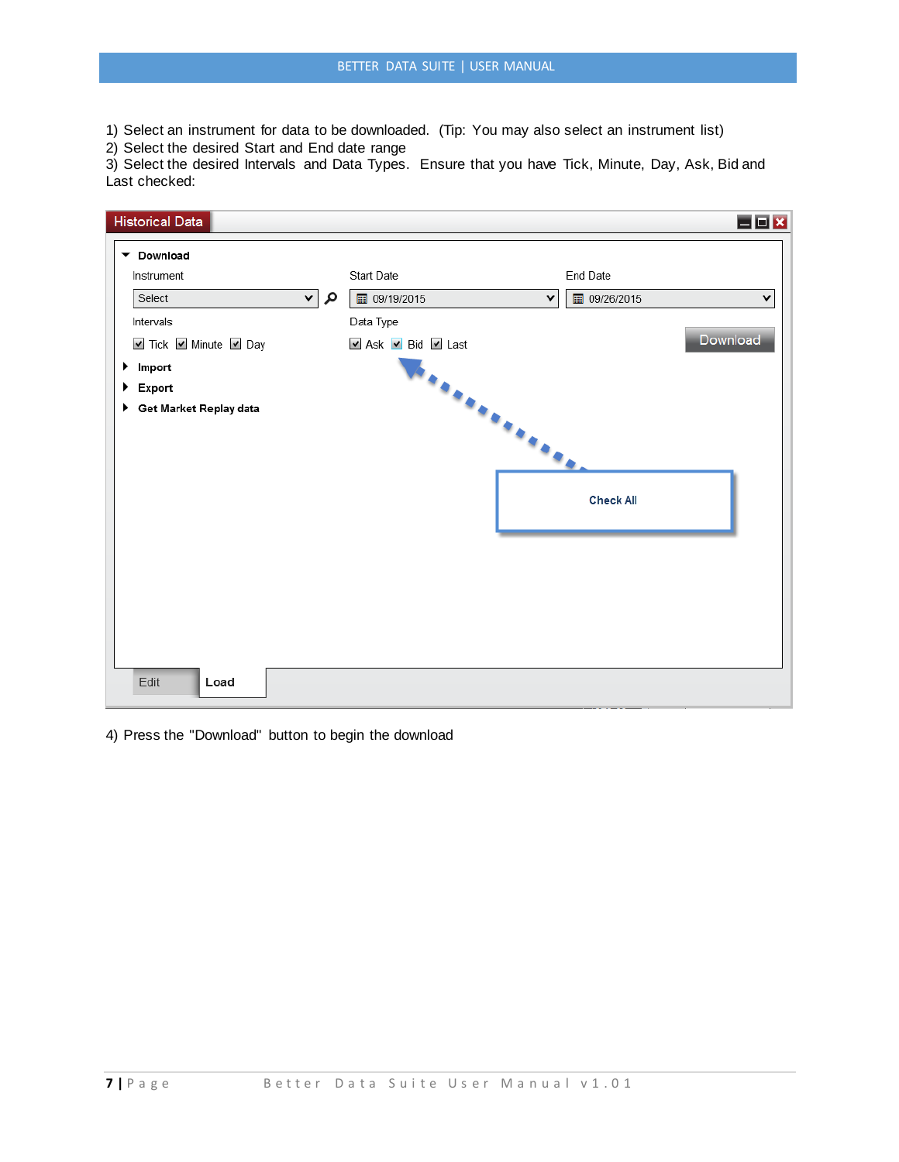1) Select an instrument for data to be downloaded. (Tip: You may also select an instrument list)

2) Select the desired Start and End date range

3) Select the desired Intervals and Data Types. Ensure that you have Tick, Minute, Day, Ask, Bid and Last checked:



4) Press the "Download" button to begin the download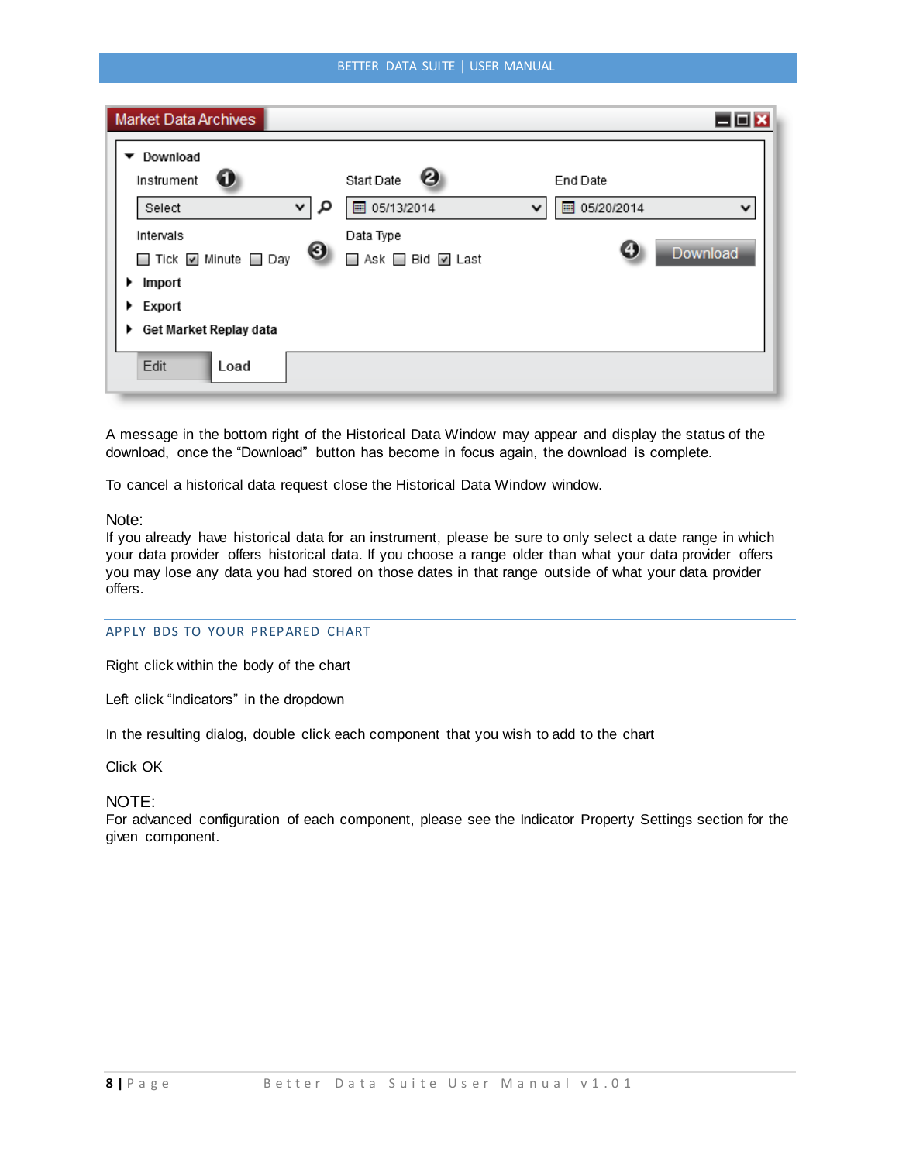### BETTER DATA SUITE | USER MANUAL

| <b>Market Data Archives</b>                                                                                                                                         |                                                                                   | ⊟⊡i×                                                         |
|---------------------------------------------------------------------------------------------------------------------------------------------------------------------|-----------------------------------------------------------------------------------|--------------------------------------------------------------|
| Download<br>Instrument<br>w<br>م<br>Select<br>⌄<br>Intervals<br>⊌<br>□ Tick Ø Minute □ Day<br>Import<br>$\blacktriangleright$ Export<br>Get Market Replay data<br>▸ | ၑ<br>Start Date<br>■ 05/13/2014<br>$\check{ }$<br>Data Type<br>□ Ask □ Bid □ Last | End Date<br>05/20/2014<br>圖<br>$\checkmark$<br>Θ<br>Download |
| Edit<br>Load                                                                                                                                                        |                                                                                   |                                                              |

A message in the bottom right of the Historical Data Window may appear and display the status of the download, once the "Download" button has become in focus again, the download is complete.

To cancel a historical data request close the Historical Data Window window.

### Note:

If you already have historical data for an instrument, please be sure to only select a date range in which your data provider offers historical data. If you choose a range older than what your data provider offers you may lose any data you had stored on those dates in that range outside of what your data provider offers.

### <span id="page-8-0"></span>APPLY BDS TO YOUR PREPARED CHART

Right click within the body of the chart

Left click "Indicators" in the dropdown

In the resulting dialog, double click each component that you wish to add to the chart

Click OK

# NOTE:

For advanced configuration of each component, please see the Indicator Property Settings section for the given component.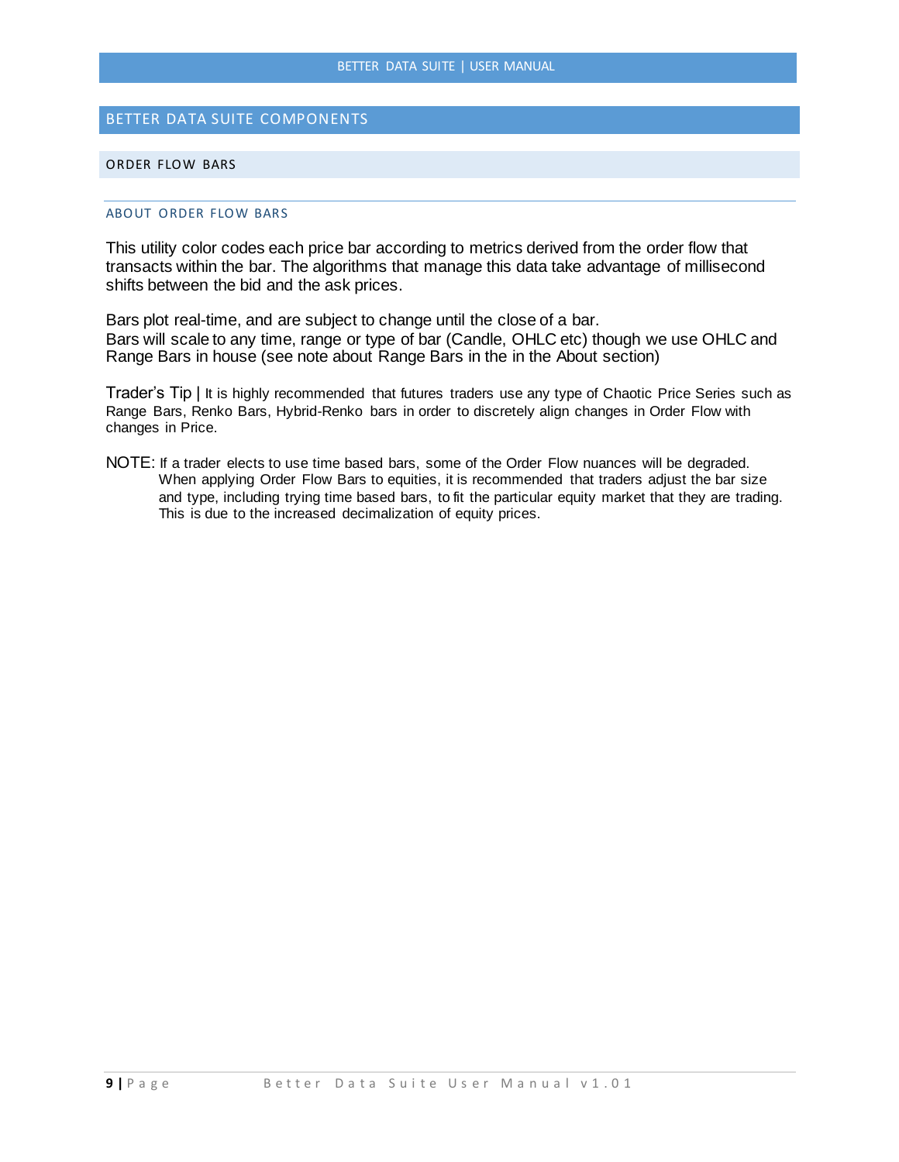# <span id="page-9-0"></span>BETTER DATA SUITE COMPONENTS

### <span id="page-9-2"></span><span id="page-9-1"></span>ORDER FLOW BARS

### ABOUT ORDER FLOW BARS

This utility color codes each price bar according to metrics derived from the order flow that transacts within the bar. The algorithms that manage this data take advantage of millisecond shifts between the bid and the ask prices.

Bars plot real-time, and are subject to change until the close of a bar. Bars will scale to any time, range or type of bar (Candle, OHLC etc) though we use OHLC and Range Bars in house (see note about Range Bars in the in the About section)

Trader's Tip | It is highly recommended that futures traders use any type of Chaotic Price Series such as Range Bars, Renko Bars, Hybrid-Renko bars in order to discretely align changes in Order Flow with changes in Price.

NOTE: If a trader elects to use time based bars, some of the Order Flow nuances will be degraded. When applying Order Flow Bars to equities, it is recommended that traders adjust the bar size and type, including trying time based bars, to fit the particular equity market that they are trading. This is due to the increased decimalization of equity prices.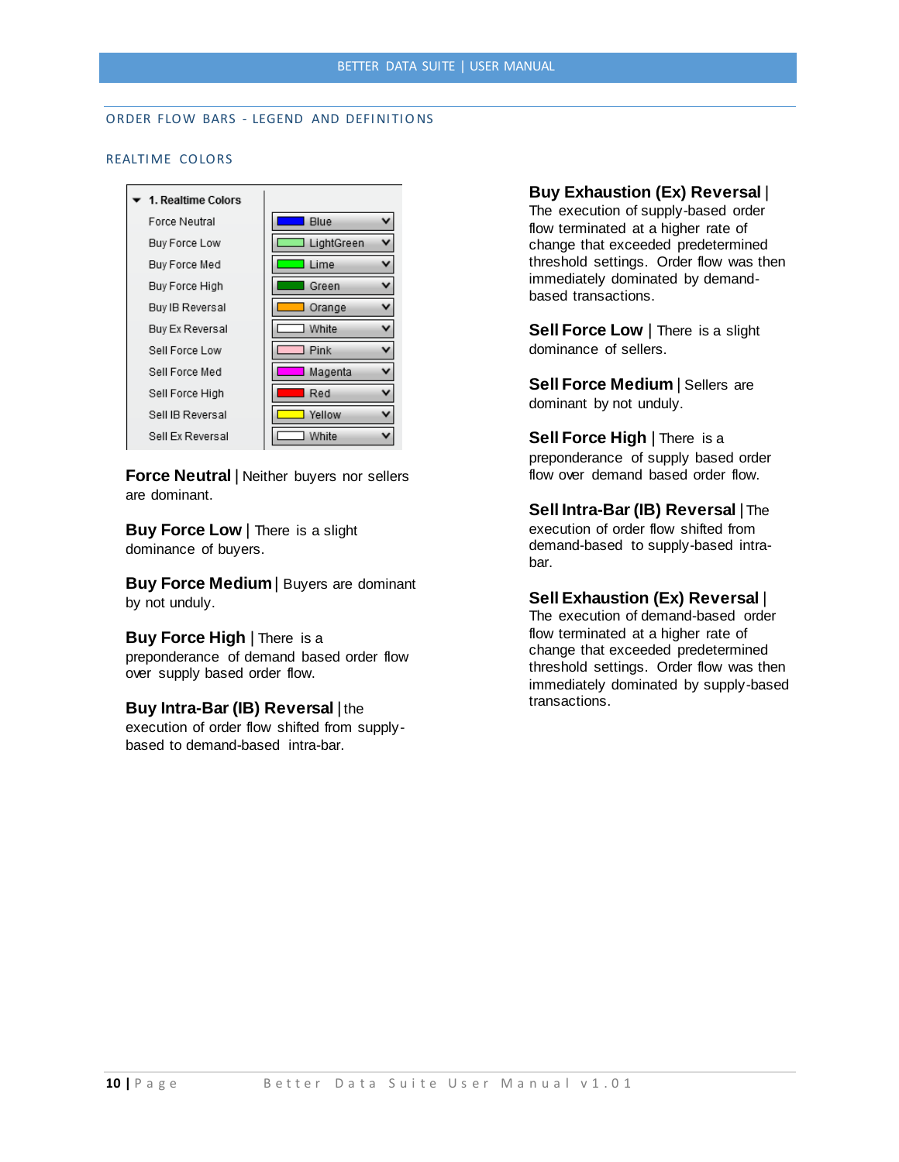# <span id="page-10-1"></span><span id="page-10-0"></span>ORDER FLOW BARS - LEGEND AND DEFINITIONS

### REALTIME COLORS



**Force Neutral** | Neither buyers nor sellers are dominant.

**Buy Force Low** | There is a slight dominance of buyers.

**Buy Force Medium**| Buyers are dominant by not unduly.

**Buy Force High** | There is a preponderance of demand based order flow over supply based order flow.

### **Buy Intra-Bar (IB) Reversal** | the

execution of order flow shifted from supplybased to demand-based intra-bar.

**Buy Exhaustion (Ex) Reversal** |

The execution of supply-based order flow terminated at a higher rate of change that exceeded predetermined threshold settings. Order flow was then immediately dominated by demandbased transactions.

**Sell Force Low** | There is a slight dominance of sellers.

**Sell Force Medium** | Sellers are dominant by not unduly.

**Sell Force High** | There is a preponderance of supply based order flow over demand based order flow.

**Sell Intra-Bar (IB) Reversal** | The execution of order flow shifted from demand-based to supply-based intrabar.

## **Sell Exhaustion (Ex) Reversal** |

The execution of demand-based order flow terminated at a higher rate of change that exceeded predetermined threshold settings. Order flow was then immediately dominated by supply-based transactions.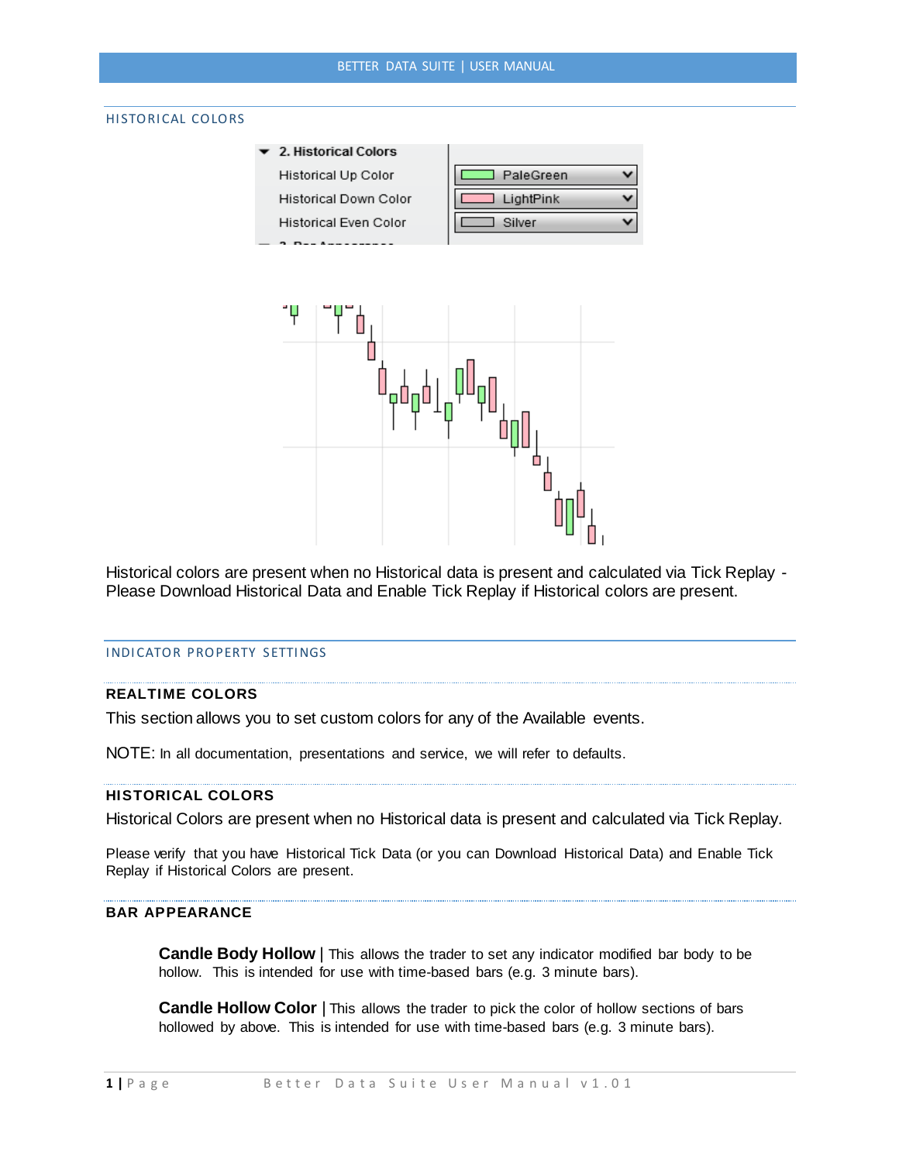### <span id="page-11-0"></span>HISTORICAL COLORS

2. Historical Colors **Historical Up Color** Historical Down Color Historical Even Color

 $\sim$   $\sim$   $\sim$   $\sim$   $\sim$   $\sim$ 

| PaleGreen |  |
|-----------|--|
| LightPink |  |
| Silver    |  |
|           |  |



Historical colors are present when no Historical data is present and calculated via Tick Replay - Please Download Historical Data and Enable Tick Replay if Historical colors are present.

# <span id="page-11-1"></span>INDICATOR PROPERTY SETTINGS

### **REALTIME COLORS**

This section allows you to set custom colors for any of the Available events.

NOTE: In all documentation, presentations and service, we will refer to defaults.

### **HISTORICAL COLORS**

Historical Colors are present when no Historical data is present and calculated via Tick Replay.

Please verify that you have Historical Tick Data (or you can Download Historical Data) and Enable Tick Replay if Historical Colors are present.

# **BAR APPEARANCE**

**Candle Body Hollow** | This allows the trader to set any indicator modified bar body to be hollow. This is intended for use with time-based bars (e.g. 3 minute bars).

**Candle Hollow Color** | This allows the trader to pick the color of hollow sections of bars hollowed by above. This is intended for use with time-based bars (e.g. 3 minute bars).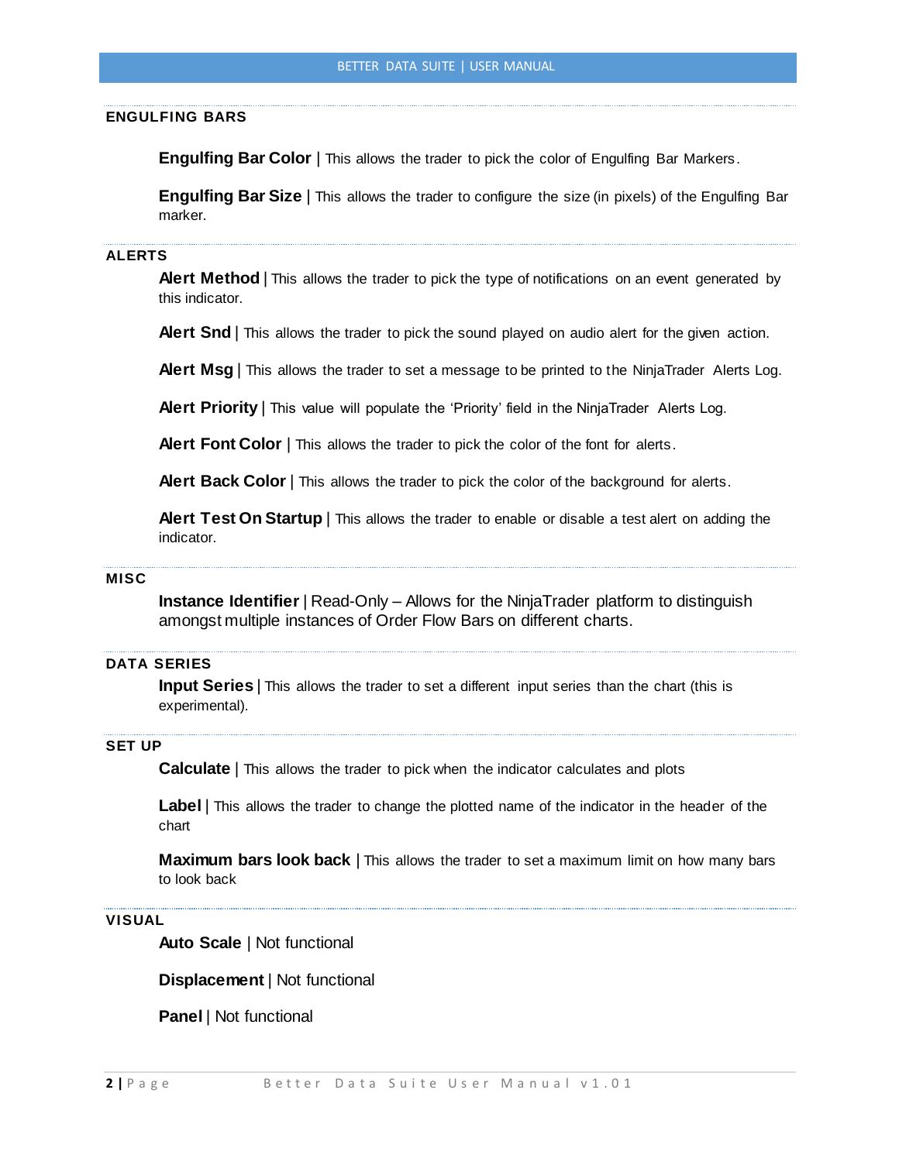### **ENGULFING BARS**

**Engulfing Bar Color** | This allows the trader to pick the color of Engulfing Bar Markers.

**Engulfing Bar Size** | This allows the trader to configure the size (in pixels) of the Engulfing Bar marker.

### **ALERTS**

**Alert Method** | This allows the trader to pick the type of notifications on an event generated by this indicator.

**Alert Snd** | This allows the trader to pick the sound played on audio alert for the given action.

**Alert Msg** | This allows the trader to set a message to be printed to the NinjaTrader Alerts Log.

**Alert Priority** | This value will populate the 'Priority' field in the NinjaTrader Alerts Log.

**Alert Font Color** | This allows the trader to pick the color of the font for alerts.

**Alert Back Color** | This allows the trader to pick the color of the background for alerts.

**Alert Test On Startup** | This allows the trader to enable or disable a test alert on adding the indicator.

### **MISC**

**Instance Identifier** | Read-Only – Allows for the NinjaTrader platform to distinguish amongst multiple instances of Order Flow Bars on different charts.

# **DATA SERIES**

**Input Series** | This allows the trader to set a different input series than the chart (this is experimental).

### **SET UP**

**Calculate** | This allows the trader to pick when the indicator calculates and plots

**Label** | This allows the trader to change the plotted name of the indicator in the header of the chart

**Maximum bars look back** | This allows the trader to set a maximum limit on how many bars to look back

### **VISUAL**

**Auto Scale** | Not functional

**Displacement** | Not functional

**Panel** | Not functional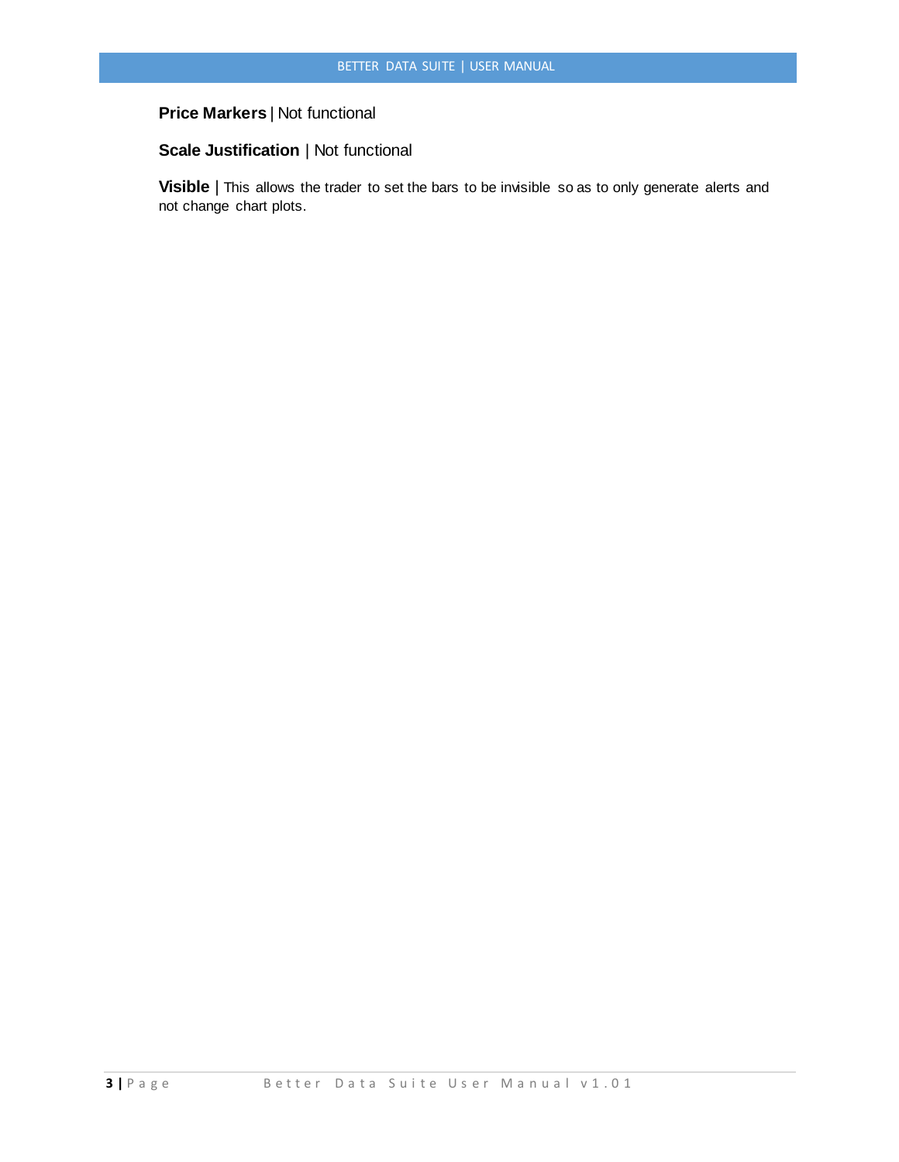# **Price Markers** | Not functional

# **Scale Justification** | Not functional

**Visible** | This allows the trader to set the bars to be invisible so as to only generate alerts and not change chart plots.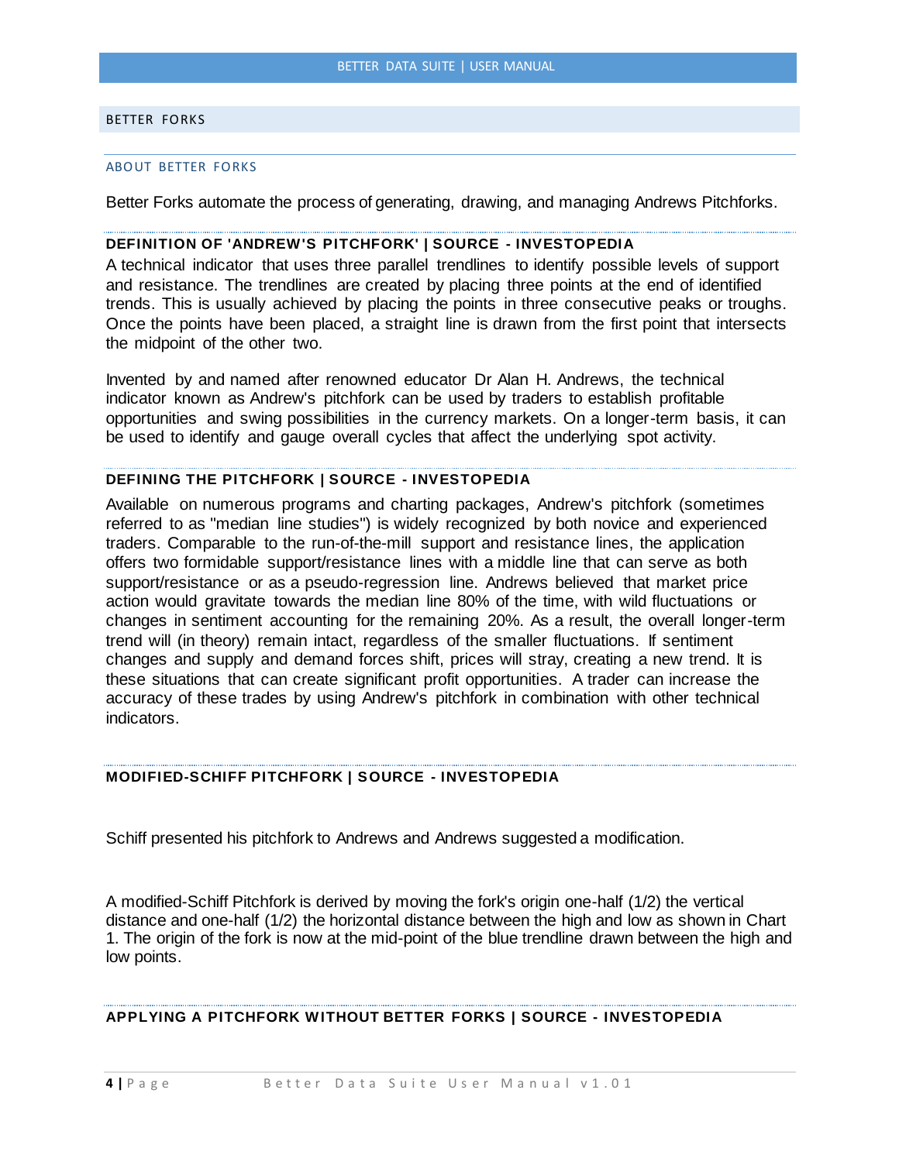### <span id="page-14-1"></span><span id="page-14-0"></span>BETTER FORKS

#### ABOUT BETTER FORKS

Better Forks automate the process of generating, drawing, and managing Andrews Pitchforks.

# **DEFINITION OF 'ANDREW'S PITCHFORK' | SOURCE - INVESTOPEDIA**

A technical indicator that uses three parallel trendlines to identify possible levels of support and resistance. The trendlines are created by placing three points at the end of identified trends. This is usually achieved by placing the points in three consecutive peaks or troughs. Once the points have been placed, a straight line is drawn from the first point that intersects the midpoint of the other two.

Invented by and named after renowned educator Dr Alan H. Andrews, the technical indicator known as Andrew's pitchfork can be used by traders to establish profitable opportunities and swing possibilities in the currency markets. On a longer-term basis, it can be used to identify and gauge overall cycles that affect the underlying spot activity.

### **DEFINING THE PITCHFORK | SOURCE - INVESTOPEDIA**

Available on numerous programs and charting packages, Andrew's pitchfork (sometimes referred to as "median line studies") is widely recognized by both novice and experienced traders. Comparable to the run-of-the-mill support and resistance lines, the application offers two formidable support/resistance lines with a middle line that can serve as both support/resistance or as a pseudo-regression line. Andrews believed that market price action would gravitate towards the median line 80% of the time, with wild fluctuations or changes in sentiment accounting for the remaining 20%. As a result, the overall longer-term trend will (in theory) remain intact, regardless of the smaller fluctuations. If sentiment changes and supply and demand forces shift, prices will stray, creating a new trend. It is these situations that can create significant profit opportunities. A trader can increase the accuracy of these trades by using Andrew's pitchfork in combination with other technical indicators.

# **MODIFIED-SCHIFF PITCHFORK | SOURCE - INVESTOPEDIA**

Schiff presented his pitchfork to Andrews and Andrews suggested a modification.

A modified-Schiff Pitchfork is derived by moving the fork's origin one-half (1/2) the vertical distance and one-half (1/2) the horizontal distance between the high and low as shown in Chart 1. The origin of the fork is now at the mid-point of the blue trendline drawn between the high and low points.

# **APPLYING A PITCHFORK WITHOUT BETTER FORKS | SOURCE - INVESTOPEDIA**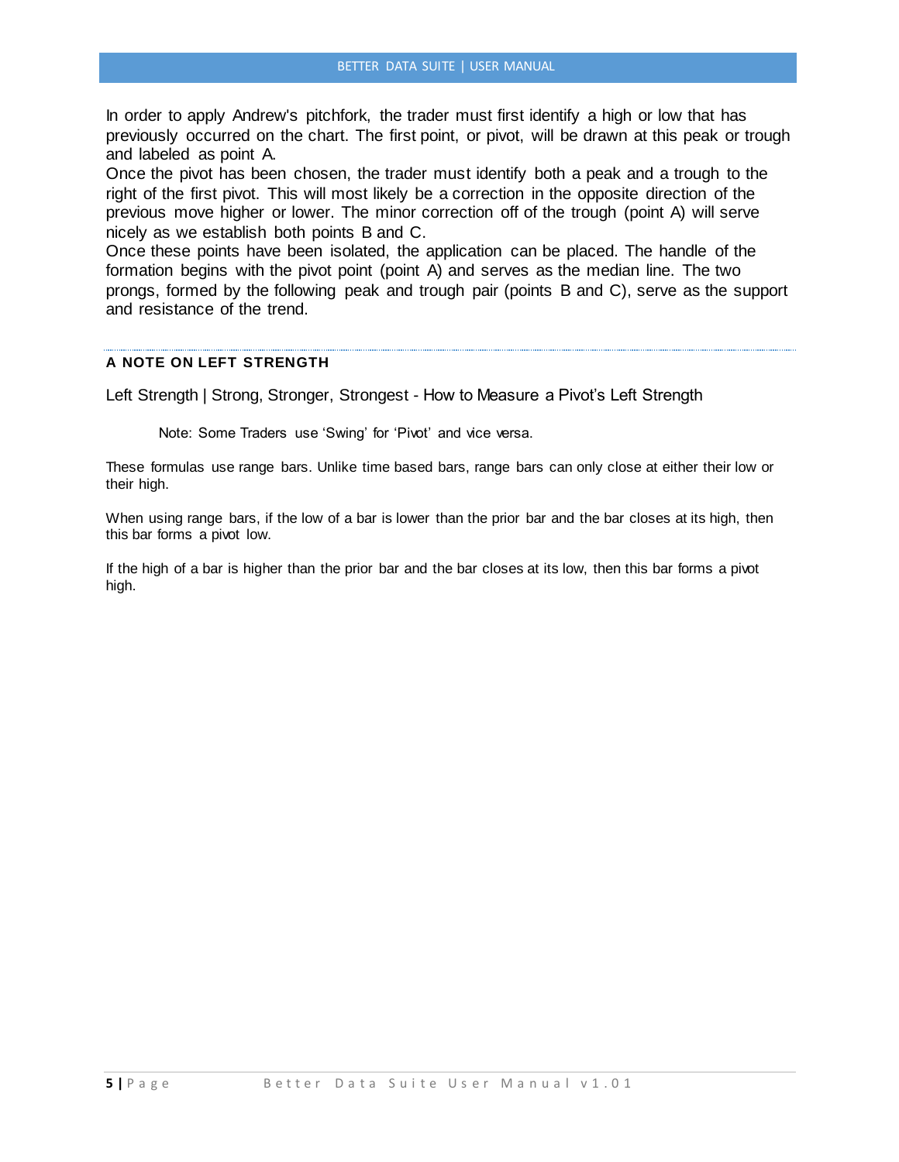In order to apply Andrew's pitchfork, the trader must first identify a high or low that has previously occurred on the chart. The first point, or pivot, will be drawn at this peak or trough and labeled as point A.

Once the pivot has been chosen, the trader must identify both a peak and a trough to the right of the first pivot. This will most likely be a correction in the opposite direction of the previous move higher or lower. The minor correction off of the trough (point A) will serve nicely as we establish both points B and C.

Once these points have been isolated, the application can be placed. The handle of the formation begins with the pivot point (point A) and serves as the median line. The two prongs, formed by the following peak and trough pair (points B and C), serve as the support and resistance of the trend.

# **A NOTE ON LEFT STRENGTH**

Left Strength | Strong, Stronger, Strongest - How to Measure a Pivot's Left Strength

Note: Some Traders use 'Swing' for 'Pivot' and vice versa.

These formulas use range bars. Unlike time based bars, range bars can only close at either their low or their high.

When using range bars, if the low of a bar is lower than the prior bar and the bar closes at its high, then this bar forms a pivot low.

If the high of a bar is higher than the prior bar and the bar closes at its low, then this bar forms a pivot high.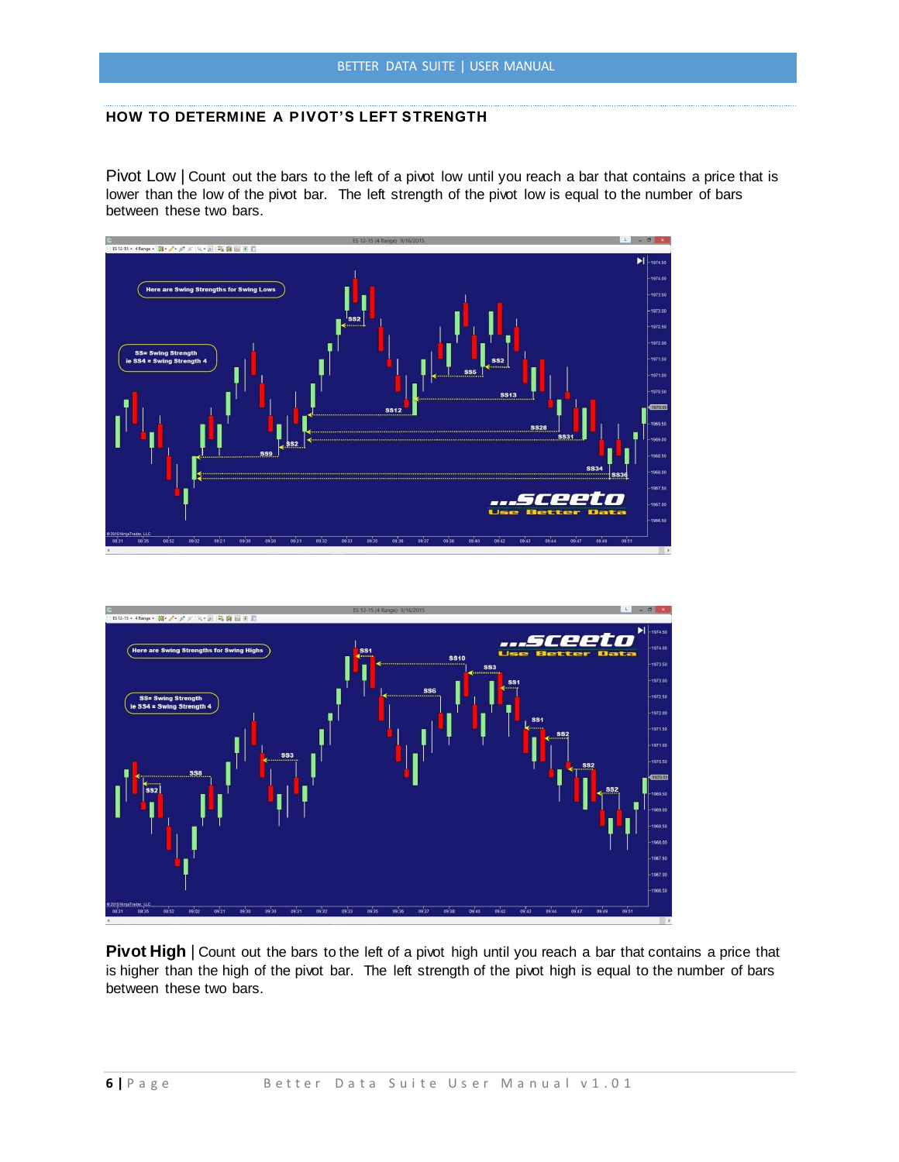# **HOW TO DETERMINE A PIVOT'S LEFT STRENGTH**

Pivot Low | Count out the bars to the left of a pivot low until you reach a bar that contains a price that is lower than the low of the pivot bar. The left strength of the pivot low is equal to the number of bars between these two bars.





**Pivot High** | Count out the bars to the left of a pivot high until you reach a bar that contains a price that is higher than the high of the pivot bar. The left strength of the pivot high is equal to the number of bars between these two bars.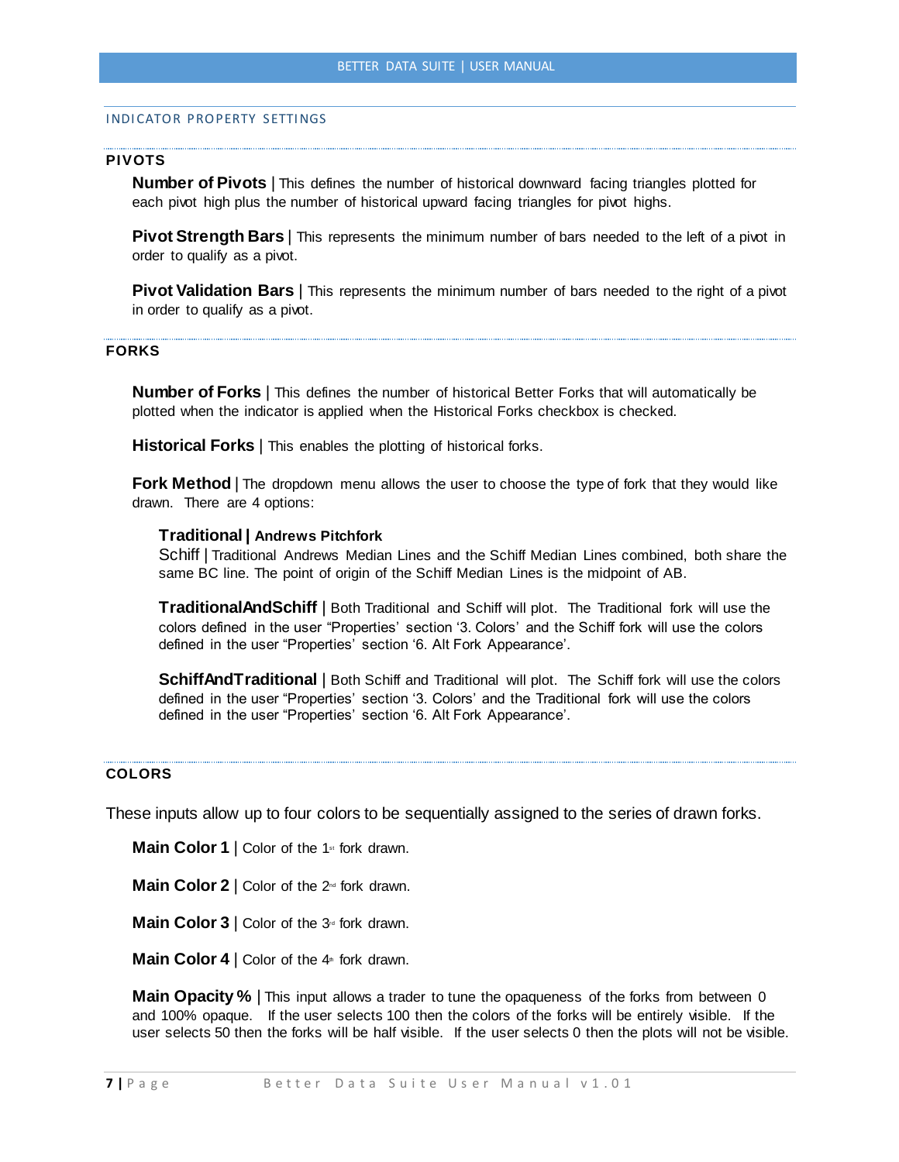### <span id="page-17-0"></span>INDICATOR PROPERTY SETTINGS

### **PIVOTS**

**Number of Pivots** | This defines the number of historical downward facing triangles plotted for each pivot high plus the number of historical upward facing triangles for pivot highs.

**Pivot Strength Bars** | This represents the minimum number of bars needed to the left of a pivot in order to qualify as a pivot.

**Pivot Validation Bars** | This represents the minimum number of bars needed to the right of a pivot in order to qualify as a pivot.

### **FORKS**

**Number of Forks** | This defines the number of historical Better Forks that will automatically be plotted when the indicator is applied when the Historical Forks checkbox is checked.

**Historical Forks** | This enables the plotting of historical forks.

**Fork Method** | The dropdown menu allows the user to choose the type of fork that they would like drawn. There are 4 options:

### **Traditional | Andrews Pitchfork**

Schiff | Traditional Andrews Median Lines and the Schiff Median Lines combined, both share the same BC line. The point of origin of the Schiff Median Lines is the midpoint of AB.

**TraditionalAndSchiff** | Both Traditional and Schiff will plot. The Traditional fork will use the colors defined in the user "Properties' section '3. Colors' and the Schiff fork will use the colors defined in the user "Properties' section '6. Alt Fork Appearance'.

**SchiffAndTraditional** | Both Schiff and Traditional will plot. The Schiff fork will use the colors defined in the user "Properties' section '3. Colors' and the Traditional fork will use the colors defined in the user "Properties' section '6. Alt Fork Appearance'.

# **COLORS**

These inputs allow up to four colors to be sequentially assigned to the series of drawn forks.

**Main Color 1** | Color of the 1<sup>st</sup> fork drawn.

**Main Color 2** | Color of the 2<sup>nd</sup> fork drawn.

**Main Color 3** | Color of the 3<sup>rd</sup> fork drawn.

**Main Color 4** | Color of the 4<sup>th</sup> fork drawn.

**Main Opacity %** | This input allows a trader to tune the opaqueness of the forks from between 0 and 100% opaque. If the user selects 100 then the colors of the forks will be entirely visible. If the user selects 50 then the forks will be half visible. If the user selects 0 then the plots will not be visible.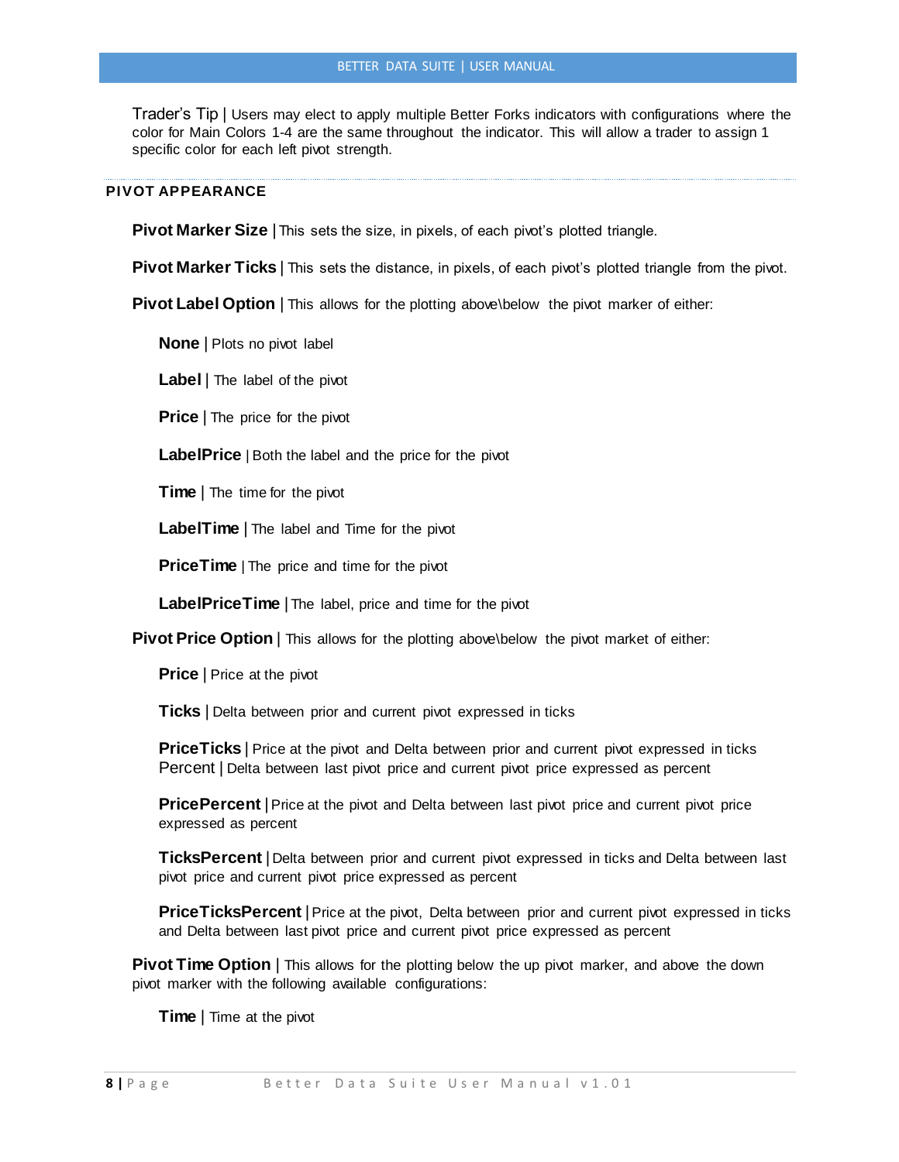Trader's Tip | Users may elect to apply multiple Better Forks indicators with configurations where the color for Main Colors 1-4 are the same throughout the indicator. This will allow a trader to assign 1 specific color for each left pivot strength.

### **PIVOT APPEARANCE**

**Pivot Marker Size** | This sets the size, in pixels, of each pivot's plotted triangle.

**Pivot Marker Ticks** | This sets the distance, in pixels, of each pivot's plotted triangle from the pivot.

**Pivot Label Option** | This allows for the plotting above\below the pivot marker of either:

**None** | Plots no pivot label

**Label** | The label of the pivot

**Price** | The price for the pivot

**LabelPrice** | Both the label and the price for the pivot

**Time** | The time for the pivot

**LabelTime** | The label and Time for the pivot

**PriceTime** | The price and time for the pivot

**LabelPriceTime** | The label, price and time for the pivot

**Pivot Price Option** | This allows for the plotting above\below the pivot market of either:

**Price** | Price at the pivot

**Ticks** | Delta between prior and current pivot expressed in ticks

**PriceTicks** | Price at the pivot and Delta between prior and current pivot expressed in ticks Percent | Delta between last pivot price and current pivot price expressed as percent

**PricePercent** | Price at the pivot and Delta between last pivot price and current pivot price expressed as percent

**TicksPercent** | Delta between prior and current pivot expressed in ticks and Delta between last pivot price and current pivot price expressed as percent

**PriceTicksPercent** |Price at the pivot, Delta between prior and current pivot expressed in ticks and Delta between last pivot price and current pivot price expressed as percent

**Pivot Time Option** | This allows for the plotting below the up pivot marker, and above the down pivot marker with the following available configurations:

**Time** | Time at the pivot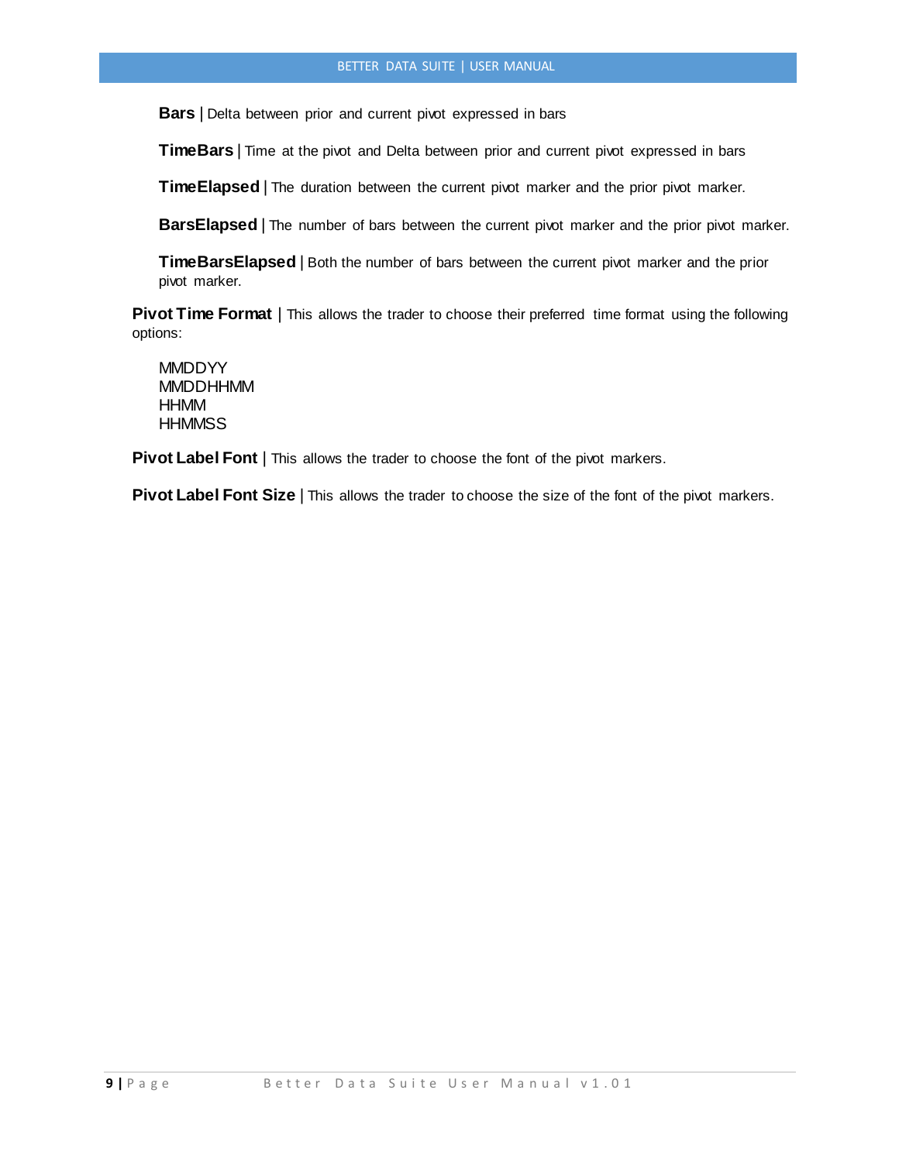**Bars** | Delta between prior and current pivot expressed in bars

**TimeBars** | Time at the pivot and Delta between prior and current pivot expressed in bars

**TimeElapsed** | The duration between the current pivot marker and the prior pivot marker.

**BarsElapsed** | The number of bars between the current pivot marker and the prior pivot marker.

**TimeBarsElapsed** | Both the number of bars between the current pivot marker and the prior pivot marker.

**Pivot Time Format** | This allows the trader to choose their preferred time format using the following options:

**MMDDYY MMDDHHMM HHMM HHMMSS** 

**Pivot Label Font** | This allows the trader to choose the font of the pivot markers.

**Pivot Label Font Size** | This allows the trader to choose the size of the font of the pivot markers.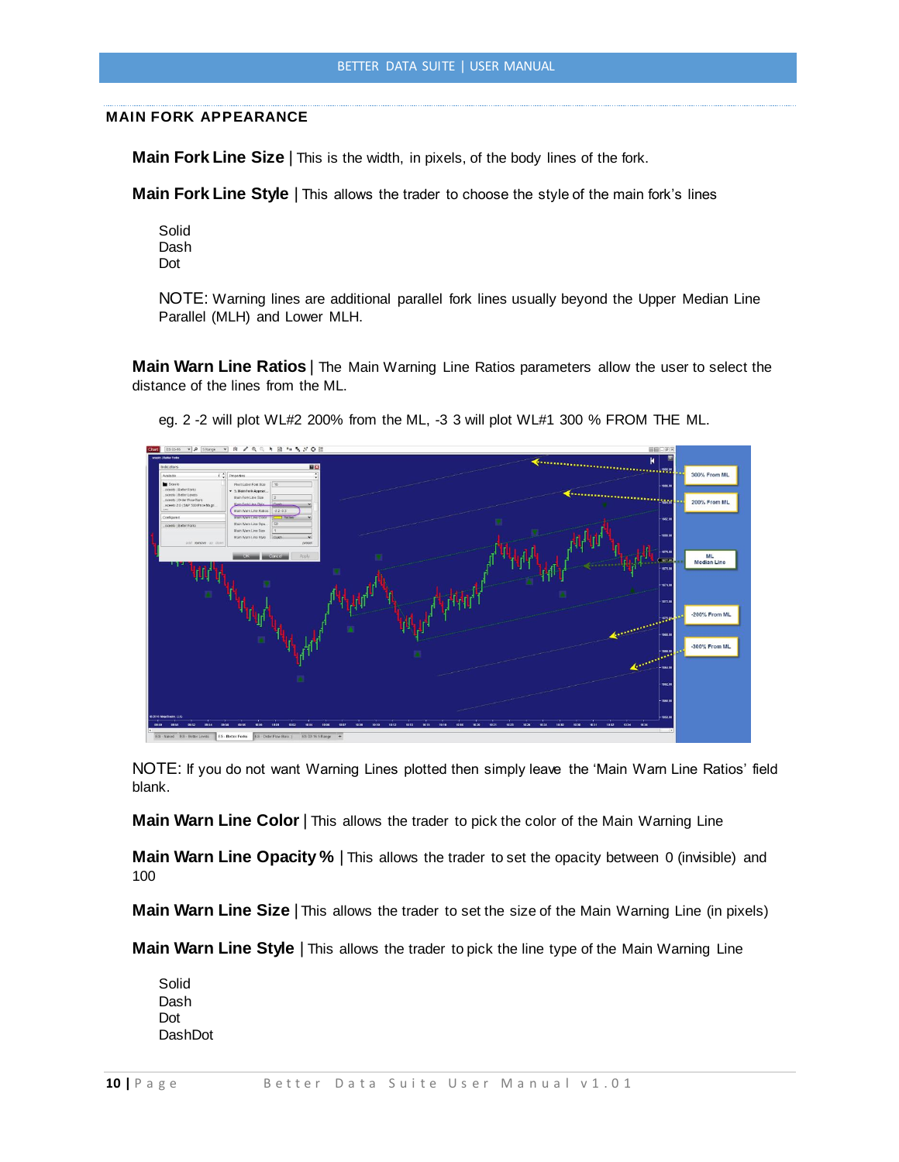### **MAIN FORK APPEARANCE**

**Main Fork Line Size** | This is the width, in pixels, of the body lines of the fork.

**Main Fork Line Style** | This allows the trader to choose the style of the main fork's lines

Solid Dash Dot

NOTE: Warning lines are additional parallel fork lines usually beyond the Upper Median Line Parallel (MLH) and Lower MLH.

**Main Warn Line Ratios** | The Main Warning Line Ratios parameters allow the user to select the distance of the lines from the ML.



eg. 2 -2 will plot WL#2 200% from the ML, -3 3 will plot WL#1 300 % FROM THE ML.

NOTE: If you do not want Warning Lines plotted then simply leave the 'Main Warn Line Ratios' field blank.

**Main Warn Line Color** | This allows the trader to pick the color of the Main Warning Line

**Main Warn Line Opacity %** | This allows the trader to set the opacity between 0 (invisible) and 100

**Main Warn Line Size** | This allows the trader to set the size of the Main Warning Line (in pixels)

**Main Warn Line Style** | This allows the trader to pick the line type of the Main Warning Line

Solid Dash Dot DashDot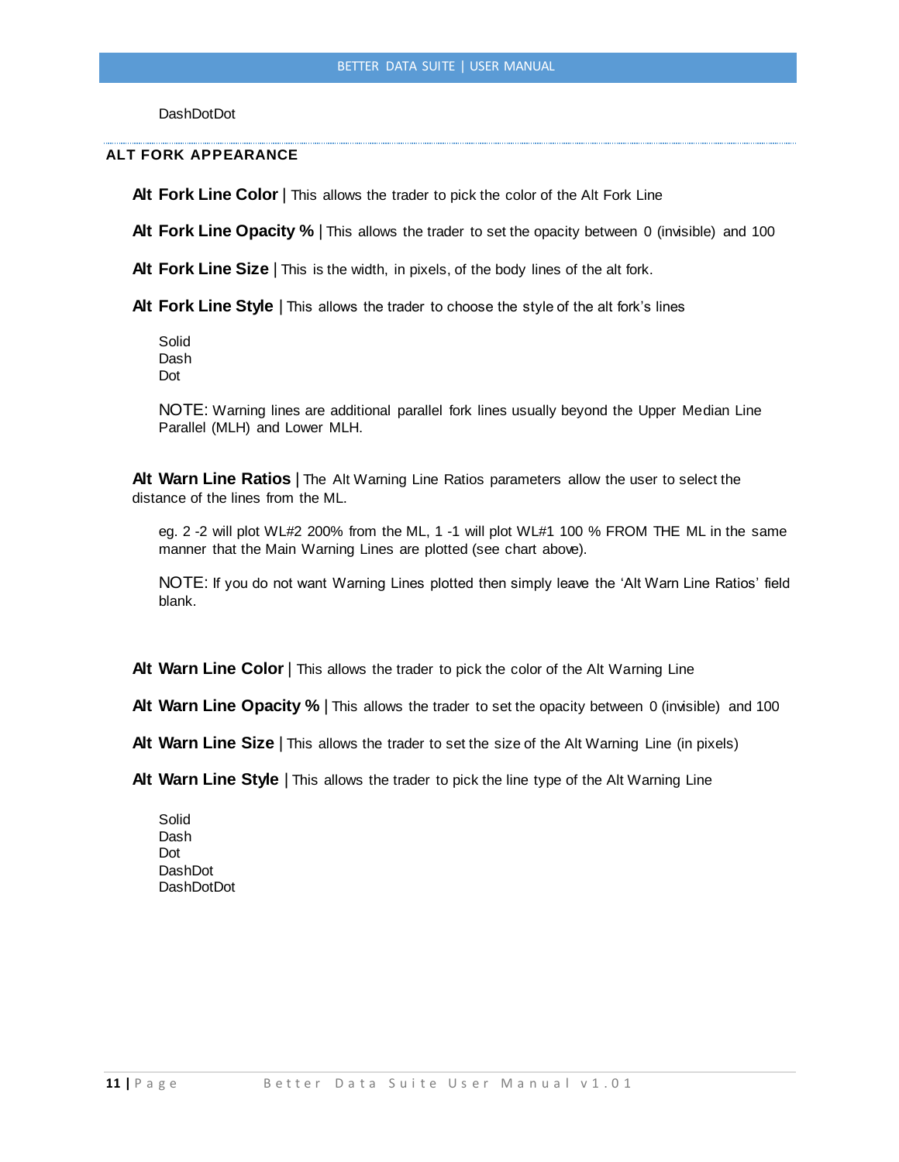**DashDotDot** 

### **ALT FORK APPEARANCE**

Alt Fork Line Color | This allows the trader to pick the color of the Alt Fork Line

Alt Fork Line Opacity % | This allows the trader to set the opacity between 0 (invisible) and 100

**Alt Fork Line Size** | This is the width, in pixels, of the body lines of the alt fork.

**Alt Fork Line Style** | This allows the trader to choose the style of the alt fork's lines

Solid Dash Dot

NOTE: Warning lines are additional parallel fork lines usually beyond the Upper Median Line Parallel (MLH) and Lower MLH.

**Alt Warn Line Ratios** | The Alt Warning Line Ratios parameters allow the user to select the distance of the lines from the ML.

eg. 2 -2 will plot WL#2 200% from the ML, 1 -1 will plot WL#1 100 % FROM THE ML in the same manner that the Main Warning Lines are plotted (see chart above).

NOTE: If you do not want Warning Lines plotted then simply leave the 'Alt Warn Line Ratios' field blank.

**Alt Warn Line Color** | This allows the trader to pick the color of the Alt Warning Line

**Alt Warn Line Opacity %** | This allows the trader to set the opacity between 0 (invisible) and 100

**Alt Warn Line Size** | This allows the trader to set the size of the Alt Warning Line (in pixels)

Alt Warn Line Style | This allows the trader to pick the line type of the Alt Warning Line

Solid Dash Dot DashDot **DashDotDot**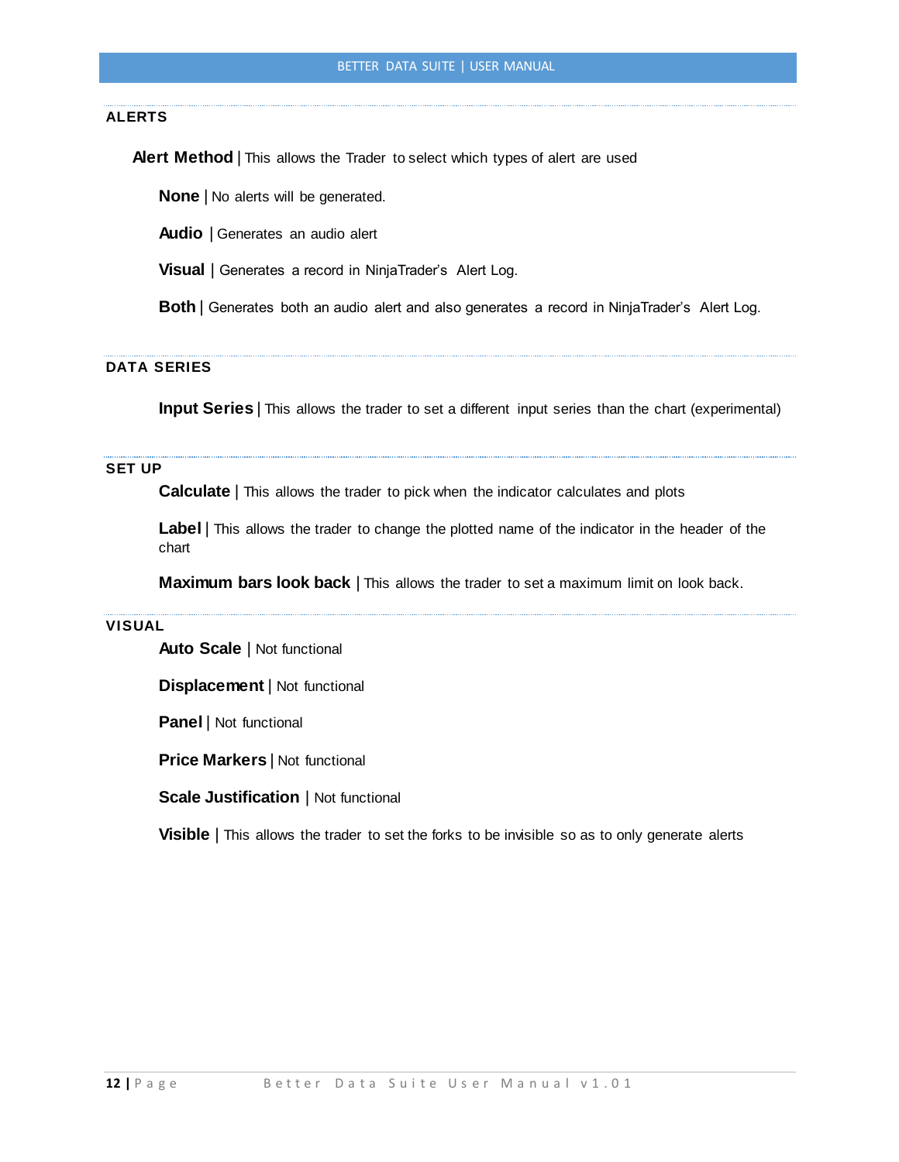## **ALERTS**

**Alert Method** | This allows the Trader to select which types of alert are used

**None** | No alerts will be generated.

**Audio** | Generates an audio alert

**Visual** | Generates a record in NinjaTrader's Alert Log.

**Both** | Generates both an audio alert and also generates a record in NinjaTrader's Alert Log.

# **DATA SERIES**

**Input Series** | This allows the trader to set a different input series than the chart (experimental)

# **SET UP**

**Calculate** | This allows the trader to pick when the indicator calculates and plots

**Label** | This allows the trader to change the plotted name of the indicator in the header of the chart

**Maximum bars look back** | This allows the trader to set a maximum limit on look back.

### **VISUAL**

**Auto Scale** | Not functional

**Displacement** | Not functional

**Panel** | Not functional

**Price Markers** | Not functional

**Scale Justification** | Not functional

**Visible** | This allows the trader to set the forks to be invisible so as to only generate alerts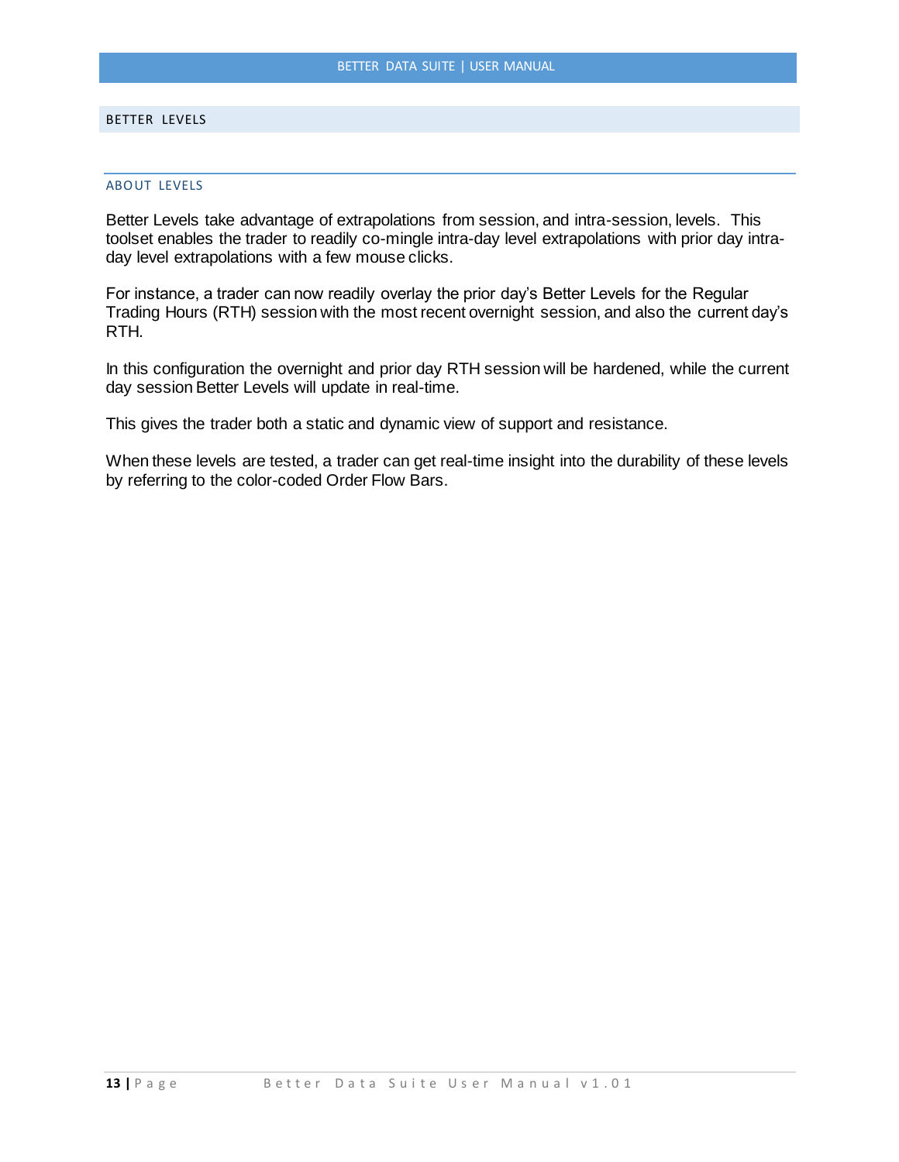### <span id="page-23-0"></span>BETTER LEVELS

### <span id="page-23-1"></span>ABOUT LEVELS

Better Levels take advantage of extrapolations from session, and intra-session, levels. This toolset enables the trader to readily co-mingle intra-day level extrapolations with prior day intraday level extrapolations with a few mouse clicks.

For instance, a trader can now readily overlay the prior day's Better Levels for the Regular Trading Hours (RTH) session with the most recent overnight session, and also the current day's RTH.

In this configuration the overnight and prior day RTH session will be hardened, while the current day session Better Levels will update in real-time.

This gives the trader both a static and dynamic view of support and resistance.

When these levels are tested, a trader can get real-time insight into the durability of these levels by referring to the color-coded Order Flow Bars.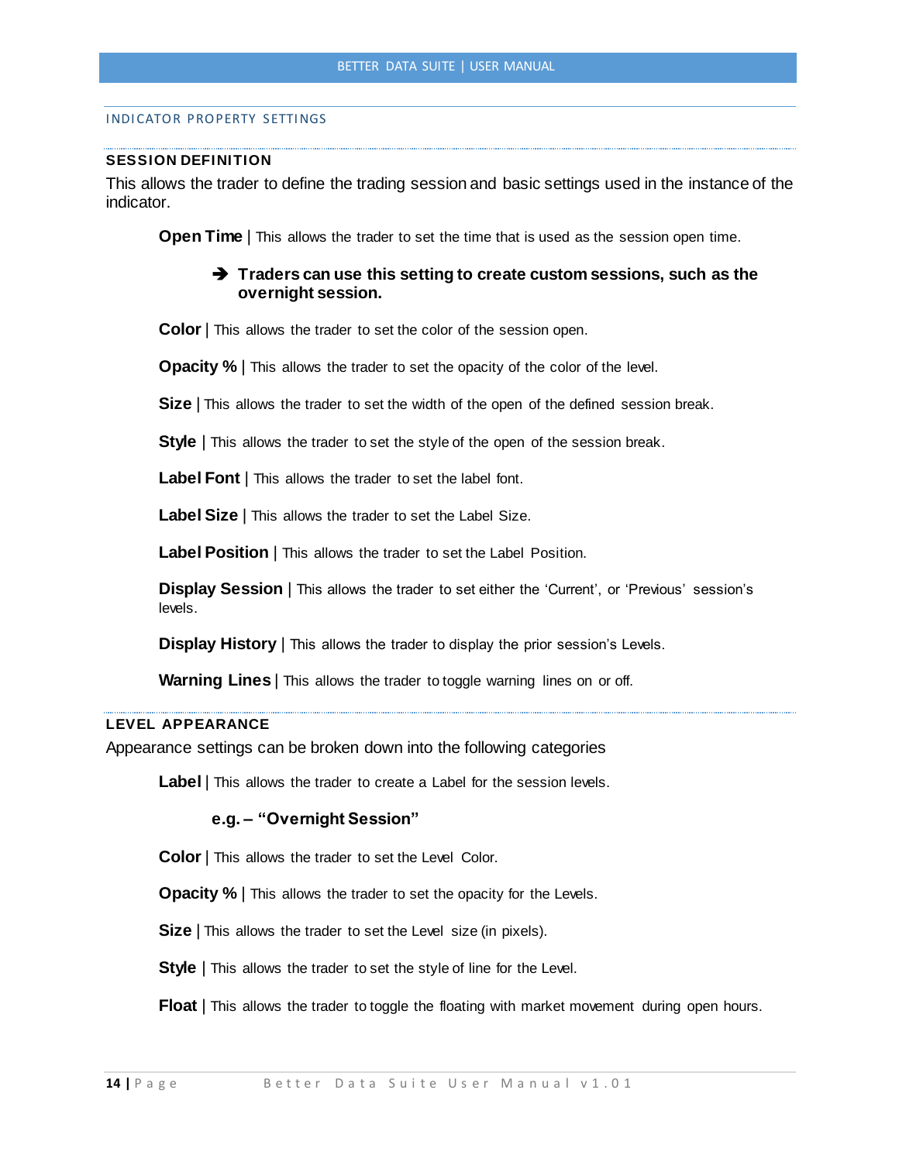### <span id="page-24-0"></span>INDICATOR PROPERTY SETTINGS

### **SESSION DEFINITION**

This allows the trader to define the trading session and basic settings used in the instance of the indicator.

**Open Time** This allows the trader to set the time that is used as the session open time.

# **Traders can use this setting to create custom sessions, such as the overnight session.**

**Color** | This allows the trader to set the color of the session open.

**Opacity %** | This allows the trader to set the opacity of the color of the level.

**Size** | This allows the trader to set the width of the open of the defined session break.

**Style** | This allows the trader to set the style of the open of the session break.

**Label Font** | This allows the trader to set the label font.

**Label Size** | This allows the trader to set the Label Size.

**Label Position** | This allows the trader to set the Label Position.

**Display Session** | This allows the trader to set either the 'Current', or 'Previous' session's levels.

**Display History** | This allows the trader to display the prior session's Levels.

**Warning Lines** | This allows the trader to toggle warning lines on or off.

### **LEVEL APPEARANCE**

Appearance settings can be broken down into the following categories

**Label** | This allows the trader to create a Label for the session levels.

# **e.g. – "Overnight Session"**

**Color** | This allows the trader to set the Level Color.

**Opacity %** | This allows the trader to set the opacity for the Levels.

**Size** | This allows the trader to set the Level size (in pixels).

**Style** | This allows the trader to set the style of line for the Level.

**Float** | This allows the trader to toggle the floating with market movement during open hours.